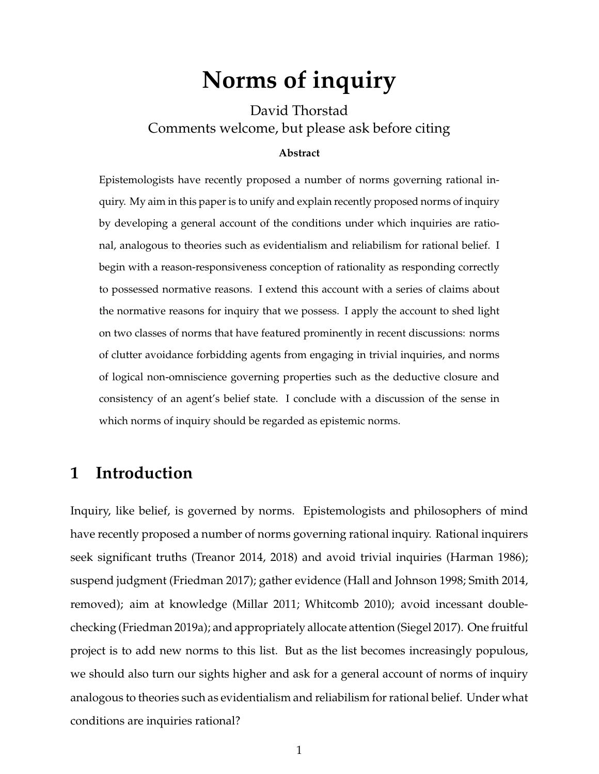# **Norms of inquiry**

David Thorstad Comments welcome, but please ask before citing

#### **Abstract**

Epistemologists have recently proposed a number of norms governing rational inquiry. My aim in this paper is to unify and explain recently proposed norms of inquiry by developing a general account of the conditions under which inquiries are rational, analogous to theories such as evidentialism and reliabilism for rational belief. I begin with a reason-responsiveness conception of rationality as responding correctly to possessed normative reasons. I extend this account with a series of claims about the normative reasons for inquiry that we possess. I apply the account to shed light on two classes of norms that have featured prominently in recent discussions: norms of clutter avoidance forbidding agents from engaging in trivial inquiries, and norms of logical non-omniscience governing properties such as the deductive closure and consistency of an agent's belief state. I conclude with a discussion of the sense in which norms of inquiry should be regarded as epistemic norms.

#### **1 Introduction**

Inquiry, like belief, is governed by norms. Epistemologists and philosophers of mind have recently proposed a number of norms governing rational inquiry. Rational inquirers seek significant truths (Treanor 2014, 2018) and avoid trivial inquiries (Harman 1986); suspend judgment (Friedman 2017); gather evidence (Hall and Johnson 1998; Smith 2014, removed); aim at knowledge (Millar 2011; Whitcomb 2010); avoid incessant doublechecking (Friedman 2019a); and appropriately allocate attention (Siegel 2017). One fruitful project is to add new norms to this list. But as the list becomes increasingly populous, we should also turn our sights higher and ask for a general account of norms of inquiry analogous to theories such as evidentialism and reliabilism for rational belief. Under what conditions are inquiries rational?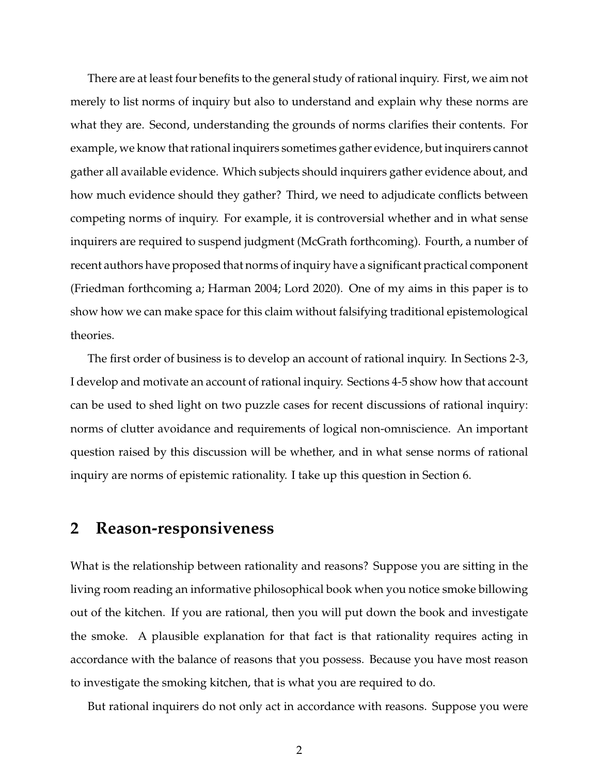There are at least four benefits to the general study of rational inquiry. First, we aim not merely to list norms of inquiry but also to understand and explain why these norms are what they are. Second, understanding the grounds of norms clarifies their contents. For example, we know that rational inquirers sometimes gather evidence, but inquirers cannot gather all available evidence. Which subjects should inquirers gather evidence about, and how much evidence should they gather? Third, we need to adjudicate conflicts between competing norms of inquiry. For example, it is controversial whether and in what sense inquirers are required to suspend judgment (McGrath forthcoming). Fourth, a number of recent authors have proposed that norms of inquiry have a significant practical component (Friedman forthcoming a; Harman 2004; Lord 2020). One of my aims in this paper is to show how we can make space for this claim without falsifying traditional epistemological theories.

The first order of business is to develop an account of rational inquiry. In Sections 2-3, I develop and motivate an account of rational inquiry. Sections 4-5 show how that account can be used to shed light on two puzzle cases for recent discussions of rational inquiry: norms of clutter avoidance and requirements of logical non-omniscience. An important question raised by this discussion will be whether, and in what sense norms of rational inquiry are norms of epistemic rationality. I take up this question in Section 6.

### **2 Reason-responsiveness**

What is the relationship between rationality and reasons? Suppose you are sitting in the living room reading an informative philosophical book when you notice smoke billowing out of the kitchen. If you are rational, then you will put down the book and investigate the smoke. A plausible explanation for that fact is that rationality requires acting in accordance with the balance of reasons that you possess. Because you have most reason to investigate the smoking kitchen, that is what you are required to do.

But rational inquirers do not only act in accordance with reasons. Suppose you were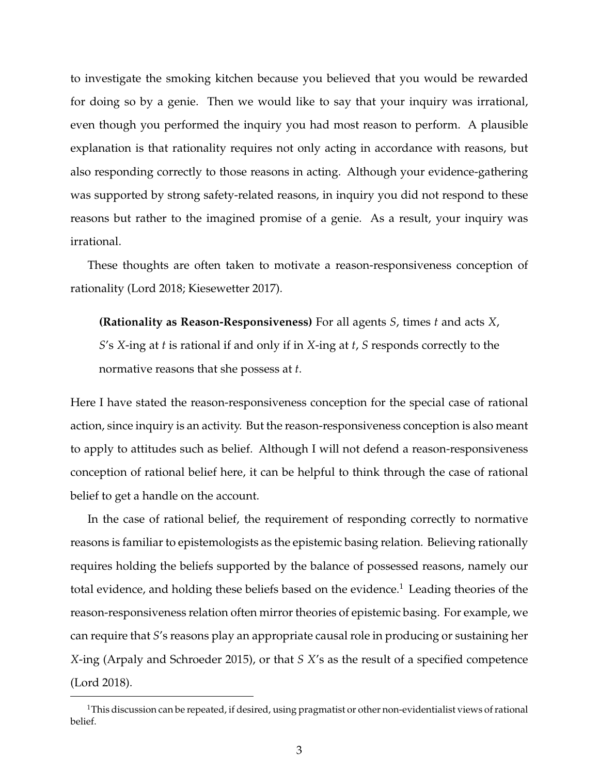to investigate the smoking kitchen because you believed that you would be rewarded for doing so by a genie. Then we would like to say that your inquiry was irrational, even though you performed the inquiry you had most reason to perform. A plausible explanation is that rationality requires not only acting in accordance with reasons, but also responding correctly to those reasons in acting. Although your evidence-gathering was supported by strong safety-related reasons, in inquiry you did not respond to these reasons but rather to the imagined promise of a genie. As a result, your inquiry was irrational.

These thoughts are often taken to motivate a reason-responsiveness conception of rationality (Lord 2018; Kiesewetter 2017).

**(Rationality as Reason-Responsiveness)** For all agents *S*, times *t* and acts *X*, *S*'s *X*-ing at *t* is rational if and only if in *X*-ing at *t*, *S* responds correctly to the normative reasons that she possess at *t*.

Here I have stated the reason-responsiveness conception for the special case of rational action, since inquiry is an activity. But the reason-responsiveness conception is also meant to apply to attitudes such as belief. Although I will not defend a reason-responsiveness conception of rational belief here, it can be helpful to think through the case of rational belief to get a handle on the account.

In the case of rational belief, the requirement of responding correctly to normative reasons is familiar to epistemologists as the epistemic basing relation. Believing rationally requires holding the beliefs supported by the balance of possessed reasons, namely our total evidence, and holding these beliefs based on the evidence.<sup>1</sup> Leading theories of the reason-responsiveness relation often mirror theories of epistemic basing. For example, we can require that *S*'s reasons play an appropriate causal role in producing or sustaining her *X*-ing (Arpaly and Schroeder 2015), or that *S X*'s as the result of a specified competence (Lord 2018).

<sup>&</sup>lt;sup>1</sup>This discussion can be repeated, if desired, using pragmatist or other non-evidentialist views of rational belief.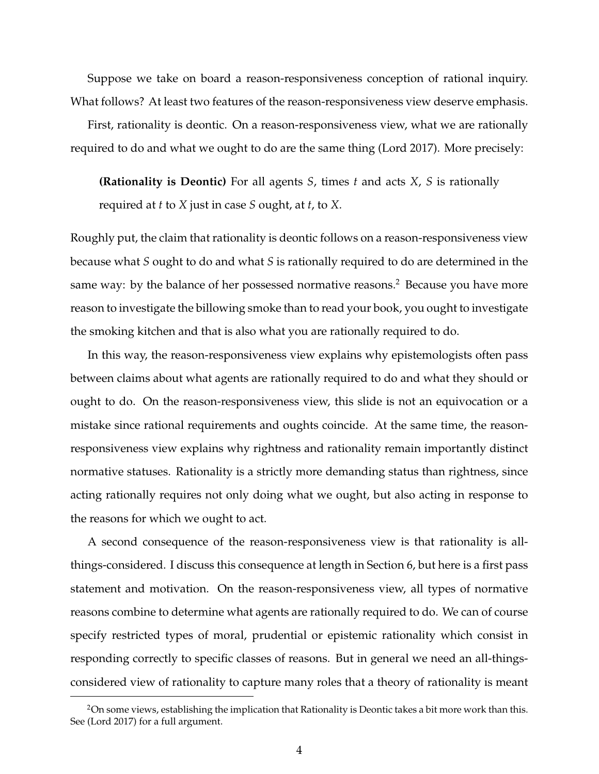Suppose we take on board a reason-responsiveness conception of rational inquiry. What follows? At least two features of the reason-responsiveness view deserve emphasis.

First, rationality is deontic. On a reason-responsiveness view, what we are rationally required to do and what we ought to do are the same thing (Lord 2017). More precisely:

**(Rationality is Deontic)** For all agents *S*, times *t* and acts *X*, *S* is rationally required at *t* to *X* just in case *S* ought, at *t*, to *X*.

Roughly put, the claim that rationality is deontic follows on a reason-responsiveness view because what *S* ought to do and what *S* is rationally required to do are determined in the same way: by the balance of her possessed normative reasons.<sup>2</sup> Because you have more reason to investigate the billowing smoke than to read your book, you ought to investigate the smoking kitchen and that is also what you are rationally required to do.

In this way, the reason-responsiveness view explains why epistemologists often pass between claims about what agents are rationally required to do and what they should or ought to do. On the reason-responsiveness view, this slide is not an equivocation or a mistake since rational requirements and oughts coincide. At the same time, the reasonresponsiveness view explains why rightness and rationality remain importantly distinct normative statuses. Rationality is a strictly more demanding status than rightness, since acting rationally requires not only doing what we ought, but also acting in response to the reasons for which we ought to act.

A second consequence of the reason-responsiveness view is that rationality is allthings-considered. I discuss this consequence at length in Section 6, but here is a first pass statement and motivation. On the reason-responsiveness view, all types of normative reasons combine to determine what agents are rationally required to do. We can of course specify restricted types of moral, prudential or epistemic rationality which consist in responding correctly to specific classes of reasons. But in general we need an all-thingsconsidered view of rationality to capture many roles that a theory of rationality is meant

 $2$ On some views, establishing the implication that Rationality is Deontic takes a bit more work than this. See (Lord 2017) for a full argument.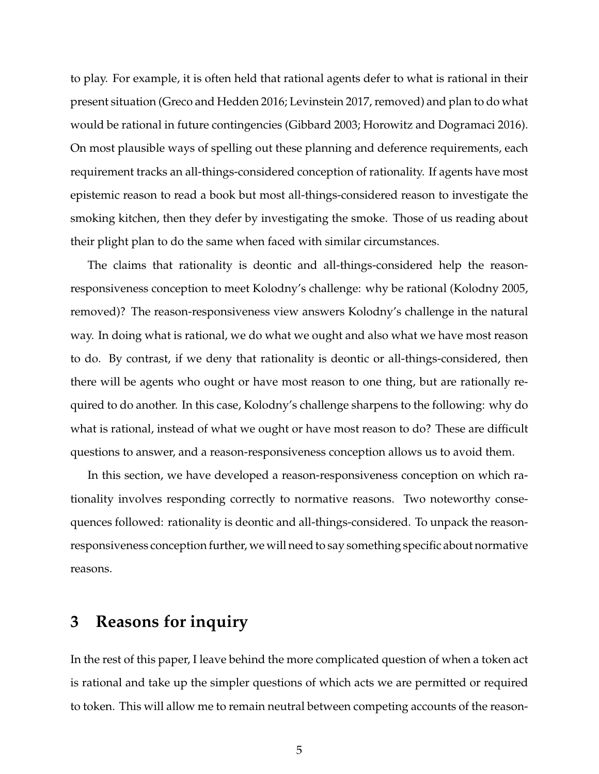to play. For example, it is often held that rational agents defer to what is rational in their present situation (Greco and Hedden 2016; Levinstein 2017, removed) and plan to do what would be rational in future contingencies (Gibbard 2003; Horowitz and Dogramaci 2016). On most plausible ways of spelling out these planning and deference requirements, each requirement tracks an all-things-considered conception of rationality. If agents have most epistemic reason to read a book but most all-things-considered reason to investigate the smoking kitchen, then they defer by investigating the smoke. Those of us reading about their plight plan to do the same when faced with similar circumstances.

The claims that rationality is deontic and all-things-considered help the reasonresponsiveness conception to meet Kolodny's challenge: why be rational (Kolodny 2005, removed)? The reason-responsiveness view answers Kolodny's challenge in the natural way. In doing what is rational, we do what we ought and also what we have most reason to do. By contrast, if we deny that rationality is deontic or all-things-considered, then there will be agents who ought or have most reason to one thing, but are rationally required to do another. In this case, Kolodny's challenge sharpens to the following: why do what is rational, instead of what we ought or have most reason to do? These are difficult questions to answer, and a reason-responsiveness conception allows us to avoid them.

In this section, we have developed a reason-responsiveness conception on which rationality involves responding correctly to normative reasons. Two noteworthy consequences followed: rationality is deontic and all-things-considered. To unpack the reasonresponsiveness conception further, we will need to say something specific about normative reasons.

#### **3 Reasons for inquiry**

In the rest of this paper, I leave behind the more complicated question of when a token act is rational and take up the simpler questions of which acts we are permitted or required to token. This will allow me to remain neutral between competing accounts of the reason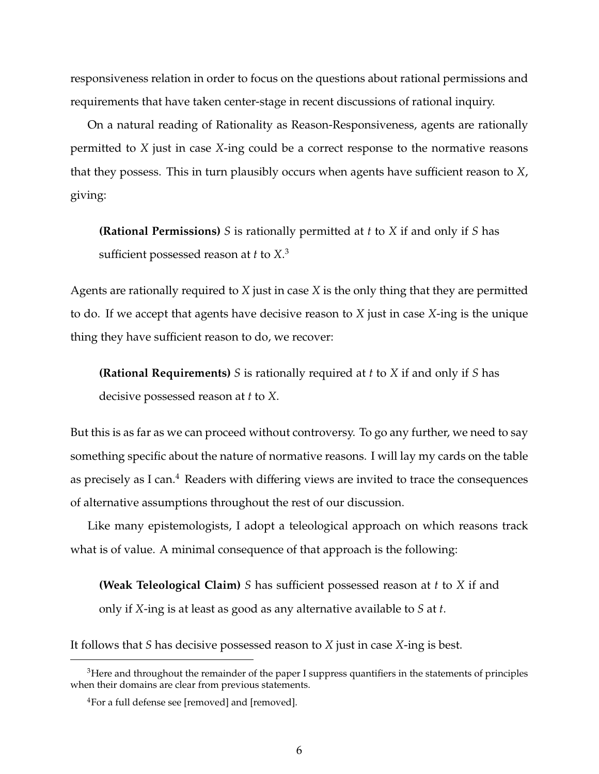responsiveness relation in order to focus on the questions about rational permissions and requirements that have taken center-stage in recent discussions of rational inquiry.

On a natural reading of Rationality as Reason-Responsiveness, agents are rationally permitted to *X* just in case *X*-ing could be a correct response to the normative reasons that they possess. This in turn plausibly occurs when agents have sufficient reason to *X*, giving:

**(Rational Permissions)** *S* is rationally permitted at *t* to *X* if and only if *S* has sufficient possessed reason at *t* to *X*. 3

Agents are rationally required to *X* just in case *X* is the only thing that they are permitted to do. If we accept that agents have decisive reason to *X* just in case *X*-ing is the unique thing they have sufficient reason to do, we recover:

**(Rational Requirements)** *S* is rationally required at *t* to *X* if and only if *S* has decisive possessed reason at *t* to *X*.

But this is as far as we can proceed without controversy. To go any further, we need to say something specific about the nature of normative reasons. I will lay my cards on the table as precisely as I can.<sup>4</sup> Readers with differing views are invited to trace the consequences of alternative assumptions throughout the rest of our discussion.

Like many epistemologists, I adopt a teleological approach on which reasons track what is of value. A minimal consequence of that approach is the following:

**(Weak Teleological Claim)** *S* has sufficient possessed reason at *t* to *X* if and only if *X*-ing is at least as good as any alternative available to *S* at *t*.

It follows that *S* has decisive possessed reason to *X* just in case *X*-ing is best.

<sup>&</sup>lt;sup>3</sup>Here and throughout the remainder of the paper I suppress quantifiers in the statements of principles when their domains are clear from previous statements.

<sup>&</sup>lt;sup>4</sup>For a full defense see [removed] and [removed].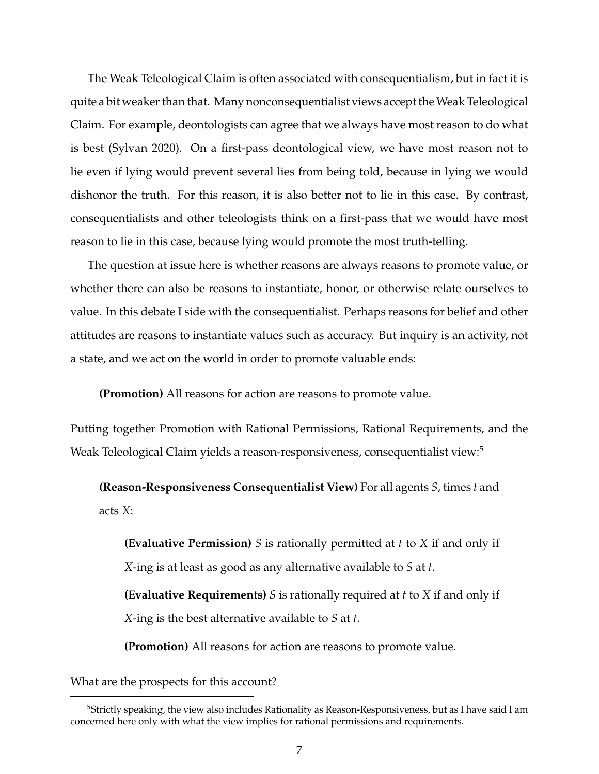The Weak Teleological Claim is often associated with consequentialism, but in fact it is quite a bit weaker than that. Many nonconsequentialist views accept theWeak Teleological Claim. For example, deontologists can agree that we always have most reason to do what is best (Sylvan 2020). On a first-pass deontological view, we have most reason not to lie even if lying would prevent several lies from being told, because in lying we would dishonor the truth. For this reason, it is also better not to lie in this case. By contrast, consequentialists and other teleologists think on a first-pass that we would have most reason to lie in this case, because lying would promote the most truth-telling.

The question at issue here is whether reasons are always reasons to promote value, or whether there can also be reasons to instantiate, honor, or otherwise relate ourselves to value. In this debate I side with the consequentialist. Perhaps reasons for belief and other attitudes are reasons to instantiate values such as accuracy. But inquiry is an activity, not a state, and we act on the world in order to promote valuable ends:

**(Promotion)** All reasons for action are reasons to promote value.

Putting together Promotion with Rational Permissions, Rational Requirements, and the Weak Teleological Claim yields a reason-responsiveness, consequentialist view:<sup>5</sup>

**(Reason-Responsiveness Consequentialist View)** For all agents *S*, times *t* and acts *X*:

**(Evaluative Permission)** *S* is rationally permitted at *t* to *X* if and only if *X*-ing is at least as good as any alternative available to *S* at *t*.

**(Evaluative Requirements)** *S* is rationally required at *t* to *X* if and only if *X*-ing is the best alternative available to *S* at *t*.

**(Promotion)** All reasons for action are reasons to promote value.

What are the prospects for this account?

<sup>&</sup>lt;sup>5</sup>Strictly speaking, the view also includes Rationality as Reason-Responsiveness, but as I have said I am concerned here only with what the view implies for rational permissions and requirements.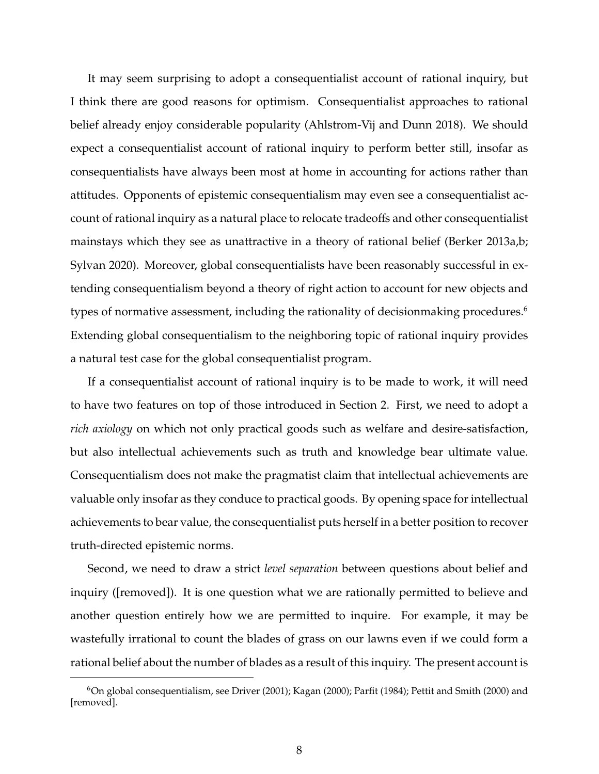It may seem surprising to adopt a consequentialist account of rational inquiry, but I think there are good reasons for optimism. Consequentialist approaches to rational belief already enjoy considerable popularity (Ahlstrom-Vij and Dunn 2018). We should expect a consequentialist account of rational inquiry to perform better still, insofar as consequentialists have always been most at home in accounting for actions rather than attitudes. Opponents of epistemic consequentialism may even see a consequentialist account of rational inquiry as a natural place to relocate tradeoffs and other consequentialist mainstays which they see as unattractive in a theory of rational belief (Berker 2013a,b; Sylvan 2020). Moreover, global consequentialists have been reasonably successful in extending consequentialism beyond a theory of right action to account for new objects and types of normative assessment, including the rationality of decisionmaking procedures.<sup>6</sup> Extending global consequentialism to the neighboring topic of rational inquiry provides a natural test case for the global consequentialist program.

If a consequentialist account of rational inquiry is to be made to work, it will need to have two features on top of those introduced in Section 2. First, we need to adopt a *rich axiology* on which not only practical goods such as welfare and desire-satisfaction, but also intellectual achievements such as truth and knowledge bear ultimate value. Consequentialism does not make the pragmatist claim that intellectual achievements are valuable only insofar as they conduce to practical goods. By opening space for intellectual achievements to bear value, the consequentialist puts herself in a better position to recover truth-directed epistemic norms.

Second, we need to draw a strict *level separation* between questions about belief and inquiry ([removed]). It is one question what we are rationally permitted to believe and another question entirely how we are permitted to inquire. For example, it may be wastefully irrational to count the blades of grass on our lawns even if we could form a rational belief about the number of blades as a result of this inquiry. The present account is

 $6$ On global consequentialism, see Driver (2001); Kagan (2000); Parfit (1984); Pettit and Smith (2000) and [removed].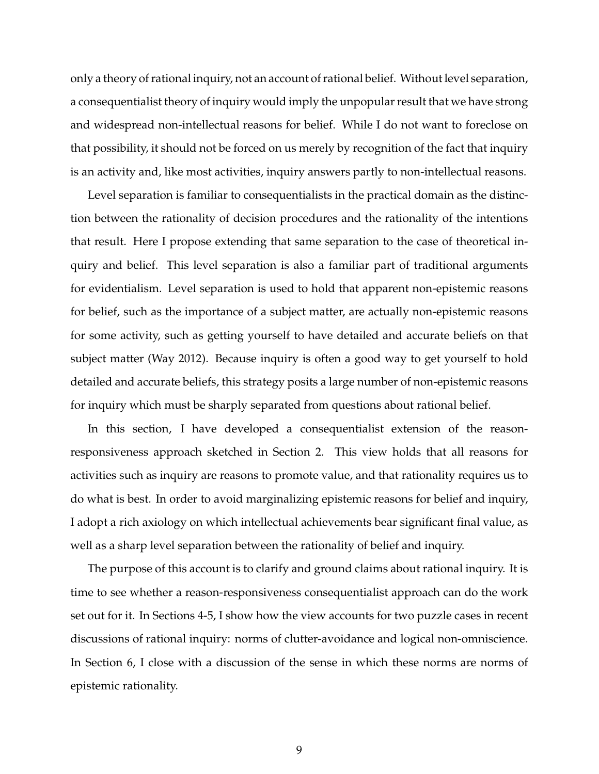only a theory of rational inquiry, not an account of rational belief. Without level separation, a consequentialist theory of inquiry would imply the unpopular result that we have strong and widespread non-intellectual reasons for belief. While I do not want to foreclose on that possibility, it should not be forced on us merely by recognition of the fact that inquiry is an activity and, like most activities, inquiry answers partly to non-intellectual reasons.

Level separation is familiar to consequentialists in the practical domain as the distinction between the rationality of decision procedures and the rationality of the intentions that result. Here I propose extending that same separation to the case of theoretical inquiry and belief. This level separation is also a familiar part of traditional arguments for evidentialism. Level separation is used to hold that apparent non-epistemic reasons for belief, such as the importance of a subject matter, are actually non-epistemic reasons for some activity, such as getting yourself to have detailed and accurate beliefs on that subject matter (Way 2012). Because inquiry is often a good way to get yourself to hold detailed and accurate beliefs, this strategy posits a large number of non-epistemic reasons for inquiry which must be sharply separated from questions about rational belief.

In this section, I have developed a consequentialist extension of the reasonresponsiveness approach sketched in Section 2. This view holds that all reasons for activities such as inquiry are reasons to promote value, and that rationality requires us to do what is best. In order to avoid marginalizing epistemic reasons for belief and inquiry, I adopt a rich axiology on which intellectual achievements bear significant final value, as well as a sharp level separation between the rationality of belief and inquiry.

The purpose of this account is to clarify and ground claims about rational inquiry. It is time to see whether a reason-responsiveness consequentialist approach can do the work set out for it. In Sections 4-5, I show how the view accounts for two puzzle cases in recent discussions of rational inquiry: norms of clutter-avoidance and logical non-omniscience. In Section 6, I close with a discussion of the sense in which these norms are norms of epistemic rationality.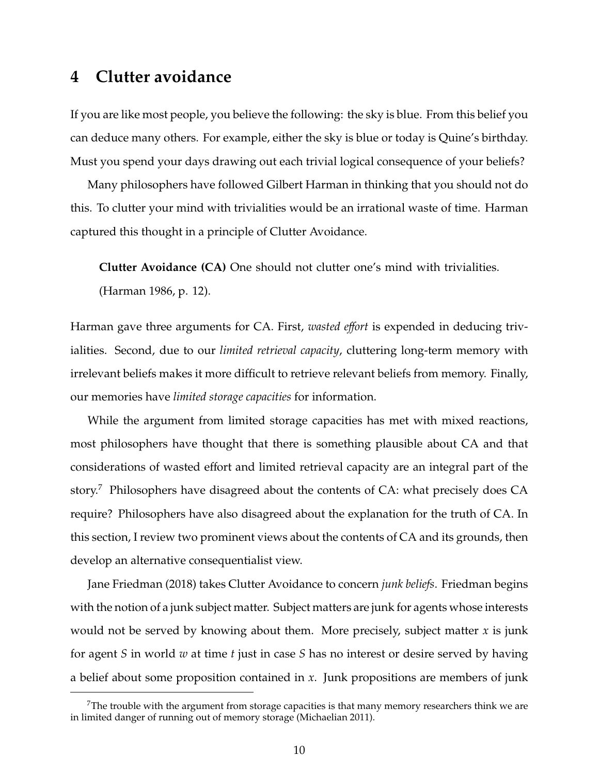# **4 Clutter avoidance**

If you are like most people, you believe the following: the sky is blue. From this belief you can deduce many others. For example, either the sky is blue or today is Quine's birthday. Must you spend your days drawing out each trivial logical consequence of your beliefs?

Many philosophers have followed Gilbert Harman in thinking that you should not do this. To clutter your mind with trivialities would be an irrational waste of time. Harman captured this thought in a principle of Clutter Avoidance.

**Clutter Avoidance (CA)** One should not clutter one's mind with trivialities.

(Harman 1986, p. 12).

Harman gave three arguments for CA. First, *wasted e*ff*ort* is expended in deducing trivialities. Second, due to our *limited retrieval capacity*, cluttering long-term memory with irrelevant beliefs makes it more difficult to retrieve relevant beliefs from memory. Finally, our memories have *limited storage capacities* for information.

While the argument from limited storage capacities has met with mixed reactions, most philosophers have thought that there is something plausible about CA and that considerations of wasted effort and limited retrieval capacity are an integral part of the story.<sup>7</sup> Philosophers have disagreed about the contents of CA: what precisely does CA require? Philosophers have also disagreed about the explanation for the truth of CA. In this section, I review two prominent views about the contents of CA and its grounds, then develop an alternative consequentialist view.

Jane Friedman (2018) takes Clutter Avoidance to concern *junk beliefs*. Friedman begins with the notion of a junk subject matter. Subject matters are junk for agents whose interests would not be served by knowing about them. More precisely, subject matter *x* is junk for agent *S* in world *w* at time *t* just in case *S* has no interest or desire served by having a belief about some proposition contained in *x*. Junk propositions are members of junk

 $^7$ The trouble with the argument from storage capacities is that many memory researchers think we are in limited danger of running out of memory storage (Michaelian 2011).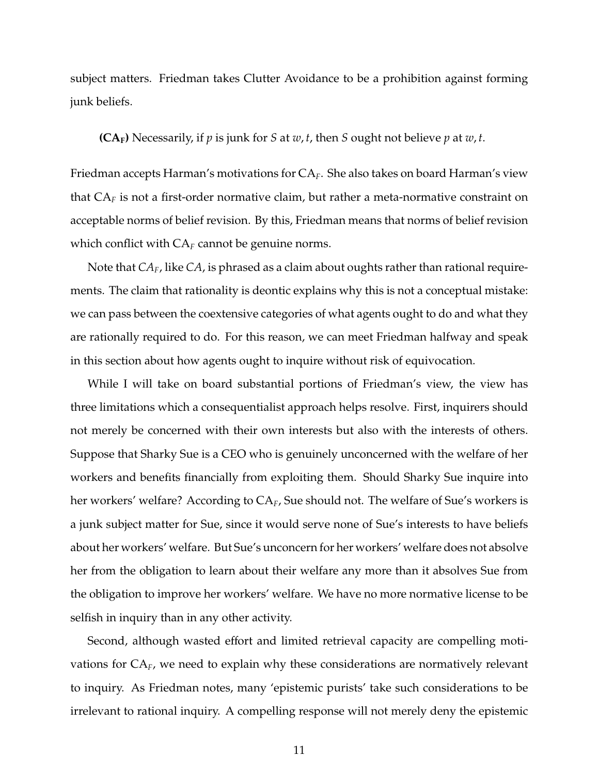subject matters. Friedman takes Clutter Avoidance to be a prohibition against forming junk beliefs.

**(CAF)** Necessarily, if *p* is junk for *S* at *w*, *t*, then *S* ought not believe *p* at *w*, *t*.

Friedman accepts Harman's motivations for CA*F*. She also takes on board Harman's view that CA*<sup>F</sup>* is not a first-order normative claim, but rather a meta-normative constraint on acceptable norms of belief revision. By this, Friedman means that norms of belief revision which conflict with  $CA_F$  cannot be genuine norms.

Note that *CAF*, like *CA*, is phrased as a claim about oughts rather than rational requirements. The claim that rationality is deontic explains why this is not a conceptual mistake: we can pass between the coextensive categories of what agents ought to do and what they are rationally required to do. For this reason, we can meet Friedman halfway and speak in this section about how agents ought to inquire without risk of equivocation.

While I will take on board substantial portions of Friedman's view, the view has three limitations which a consequentialist approach helps resolve. First, inquirers should not merely be concerned with their own interests but also with the interests of others. Suppose that Sharky Sue is a CEO who is genuinely unconcerned with the welfare of her workers and benefits financially from exploiting them. Should Sharky Sue inquire into her workers' welfare? According to CA*F*, Sue should not. The welfare of Sue's workers is a junk subject matter for Sue, since it would serve none of Sue's interests to have beliefs about her workers' welfare. But Sue's unconcern for her workers' welfare does not absolve her from the obligation to learn about their welfare any more than it absolves Sue from the obligation to improve her workers' welfare. We have no more normative license to be selfish in inquiry than in any other activity.

Second, although wasted effort and limited retrieval capacity are compelling motivations for CA*F*, we need to explain why these considerations are normatively relevant to inquiry. As Friedman notes, many 'epistemic purists' take such considerations to be irrelevant to rational inquiry. A compelling response will not merely deny the epistemic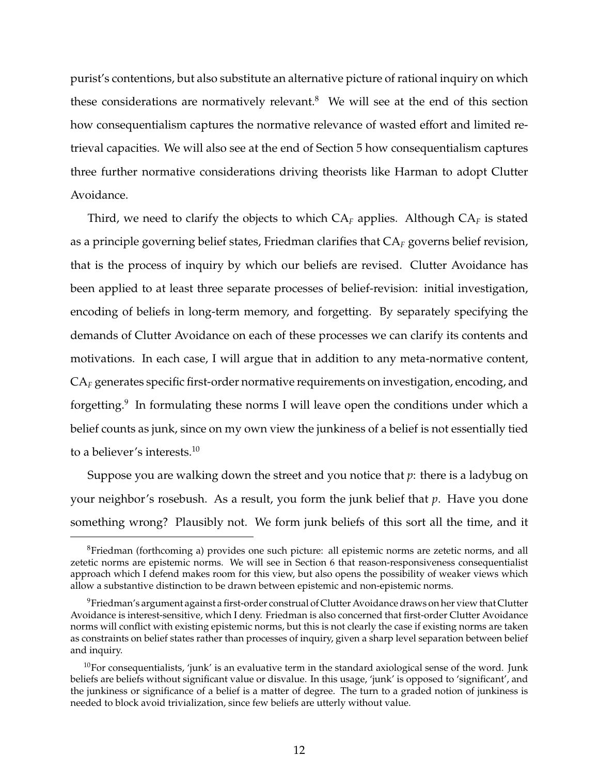purist's contentions, but also substitute an alternative picture of rational inquiry on which these considerations are normatively relevant. $8$  We will see at the end of this section how consequentialism captures the normative relevance of wasted effort and limited retrieval capacities. We will also see at the end of Section 5 how consequentialism captures three further normative considerations driving theorists like Harman to adopt Clutter Avoidance.

Third, we need to clarify the objects to which CA*<sup>F</sup>* applies. Although CA*<sup>F</sup>* is stated as a principle governing belief states, Friedman clarifies that  $CA_F$  governs belief revision, that is the process of inquiry by which our beliefs are revised. Clutter Avoidance has been applied to at least three separate processes of belief-revision: initial investigation, encoding of beliefs in long-term memory, and forgetting. By separately specifying the demands of Clutter Avoidance on each of these processes we can clarify its contents and motivations. In each case, I will argue that in addition to any meta-normative content, CA*<sup>F</sup>* generates specific first-order normative requirements on investigation, encoding, and forgetting.<sup>9</sup> In formulating these norms I will leave open the conditions under which a belief counts as junk, since on my own view the junkiness of a belief is not essentially tied to a believer's interests.<sup>10</sup>

Suppose you are walking down the street and you notice that *p*: there is a ladybug on your neighbor's rosebush. As a result, you form the junk belief that *p*. Have you done something wrong? Plausibly not. We form junk beliefs of this sort all the time, and it

<sup>8</sup>Friedman (forthcoming a) provides one such picture: all epistemic norms are zetetic norms, and all zetetic norms are epistemic norms. We will see in Section 6 that reason-responsiveness consequentialist approach which I defend makes room for this view, but also opens the possibility of weaker views which allow a substantive distinction to be drawn between epistemic and non-epistemic norms.

 $9$ Friedman's argument against a first-order construal of Clutter Avoidance draws on her view that Clutter Avoidance is interest-sensitive, which I deny. Friedman is also concerned that first-order Clutter Avoidance norms will conflict with existing epistemic norms, but this is not clearly the case if existing norms are taken as constraints on belief states rather than processes of inquiry, given a sharp level separation between belief and inquiry.

 $10$ For consequentialists, 'junk' is an evaluative term in the standard axiological sense of the word. Junk beliefs are beliefs without significant value or disvalue. In this usage, 'junk' is opposed to 'significant', and the junkiness or significance of a belief is a matter of degree. The turn to a graded notion of junkiness is needed to block avoid trivialization, since few beliefs are utterly without value.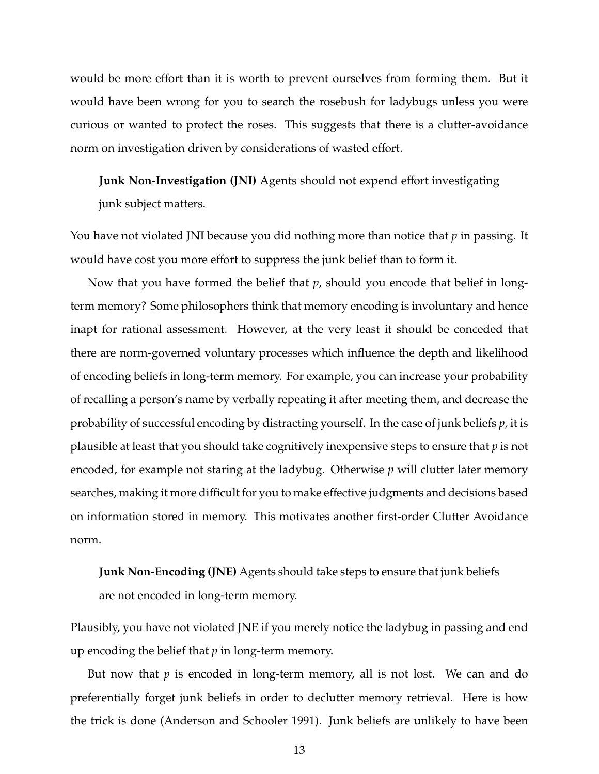would be more effort than it is worth to prevent ourselves from forming them. But it would have been wrong for you to search the rosebush for ladybugs unless you were curious or wanted to protect the roses. This suggests that there is a clutter-avoidance norm on investigation driven by considerations of wasted effort.

**Junk Non-Investigation (JNI)** Agents should not expend effort investigating junk subject matters.

You have not violated JNI because you did nothing more than notice that *p* in passing. It would have cost you more effort to suppress the junk belief than to form it.

Now that you have formed the belief that *p*, should you encode that belief in longterm memory? Some philosophers think that memory encoding is involuntary and hence inapt for rational assessment. However, at the very least it should be conceded that there are norm-governed voluntary processes which influence the depth and likelihood of encoding beliefs in long-term memory. For example, you can increase your probability of recalling a person's name by verbally repeating it after meeting them, and decrease the probability of successful encoding by distracting yourself. In the case of junk beliefs *p*, it is plausible at least that you should take cognitively inexpensive steps to ensure that *p* is not encoded, for example not staring at the ladybug. Otherwise *p* will clutter later memory searches, making it more difficult for you to make effective judgments and decisions based on information stored in memory. This motivates another first-order Clutter Avoidance norm.

**Junk Non-Encoding (JNE)** Agents should take steps to ensure that junk beliefs are not encoded in long-term memory.

Plausibly, you have not violated JNE if you merely notice the ladybug in passing and end up encoding the belief that *p* in long-term memory.

But now that *p* is encoded in long-term memory, all is not lost. We can and do preferentially forget junk beliefs in order to declutter memory retrieval. Here is how the trick is done (Anderson and Schooler 1991). Junk beliefs are unlikely to have been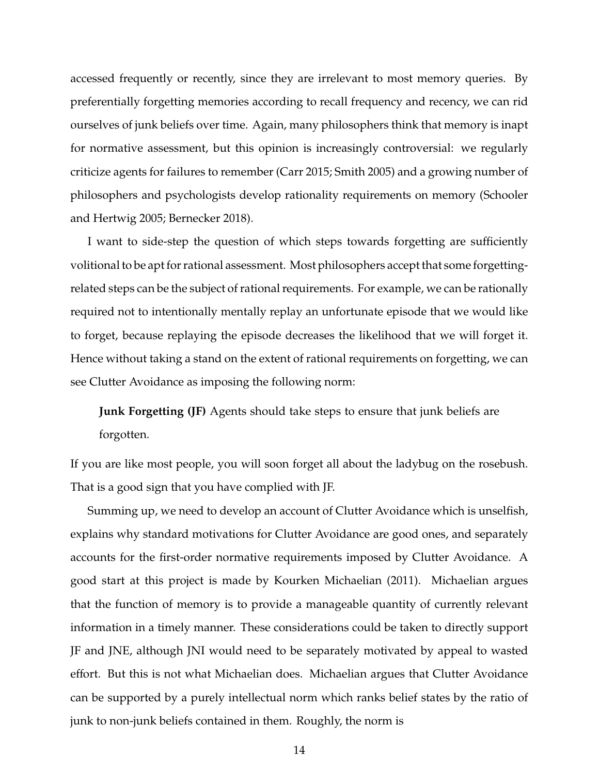accessed frequently or recently, since they are irrelevant to most memory queries. By preferentially forgetting memories according to recall frequency and recency, we can rid ourselves of junk beliefs over time. Again, many philosophers think that memory is inapt for normative assessment, but this opinion is increasingly controversial: we regularly criticize agents for failures to remember (Carr 2015; Smith 2005) and a growing number of philosophers and psychologists develop rationality requirements on memory (Schooler and Hertwig 2005; Bernecker 2018).

I want to side-step the question of which steps towards forgetting are sufficiently volitional to be apt for rational assessment. Most philosophers accept that some forgettingrelated steps can be the subject of rational requirements. For example, we can be rationally required not to intentionally mentally replay an unfortunate episode that we would like to forget, because replaying the episode decreases the likelihood that we will forget it. Hence without taking a stand on the extent of rational requirements on forgetting, we can see Clutter Avoidance as imposing the following norm:

**Junk Forgetting (JF)** Agents should take steps to ensure that junk beliefs are forgotten.

If you are like most people, you will soon forget all about the ladybug on the rosebush. That is a good sign that you have complied with JF.

Summing up, we need to develop an account of Clutter Avoidance which is unselfish, explains why standard motivations for Clutter Avoidance are good ones, and separately accounts for the first-order normative requirements imposed by Clutter Avoidance. A good start at this project is made by Kourken Michaelian (2011). Michaelian argues that the function of memory is to provide a manageable quantity of currently relevant information in a timely manner. These considerations could be taken to directly support JF and JNE, although JNI would need to be separately motivated by appeal to wasted effort. But this is not what Michaelian does. Michaelian argues that Clutter Avoidance can be supported by a purely intellectual norm which ranks belief states by the ratio of junk to non-junk beliefs contained in them. Roughly, the norm is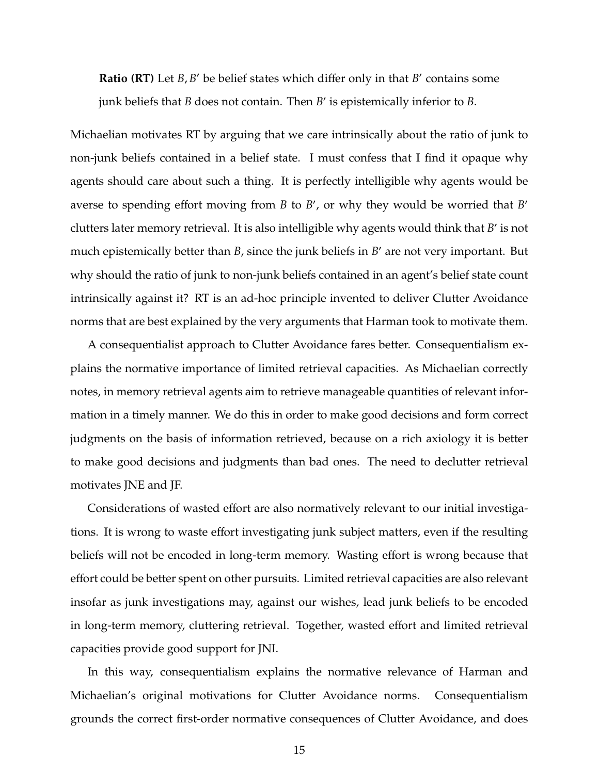**Ratio (RT)** Let  $B$ ,  $B'$  be belief states which differ only in that  $B'$  contains some junk beliefs that *B* does not contain. Then *B*' is epistemically inferior to *B*.

Michaelian motivates RT by arguing that we care intrinsically about the ratio of junk to non-junk beliefs contained in a belief state. I must confess that I find it opaque why agents should care about such a thing. It is perfectly intelligible why agents would be averse to spending effort moving from *B* to *B'*, or why they would be worried that *B'* clutters later memory retrieval. It is also intelligible why agents would think that *B'* is not much epistemically better than *B*, since the junk beliefs in *B'* are not very important. But why should the ratio of junk to non-junk beliefs contained in an agent's belief state count intrinsically against it? RT is an ad-hoc principle invented to deliver Clutter Avoidance norms that are best explained by the very arguments that Harman took to motivate them.

A consequentialist approach to Clutter Avoidance fares better. Consequentialism explains the normative importance of limited retrieval capacities. As Michaelian correctly notes, in memory retrieval agents aim to retrieve manageable quantities of relevant information in a timely manner. We do this in order to make good decisions and form correct judgments on the basis of information retrieved, because on a rich axiology it is better to make good decisions and judgments than bad ones. The need to declutter retrieval motivates JNE and JF.

Considerations of wasted effort are also normatively relevant to our initial investigations. It is wrong to waste effort investigating junk subject matters, even if the resulting beliefs will not be encoded in long-term memory. Wasting effort is wrong because that effort could be better spent on other pursuits. Limited retrieval capacities are also relevant insofar as junk investigations may, against our wishes, lead junk beliefs to be encoded in long-term memory, cluttering retrieval. Together, wasted effort and limited retrieval capacities provide good support for JNI.

In this way, consequentialism explains the normative relevance of Harman and Michaelian's original motivations for Clutter Avoidance norms. Consequentialism grounds the correct first-order normative consequences of Clutter Avoidance, and does

15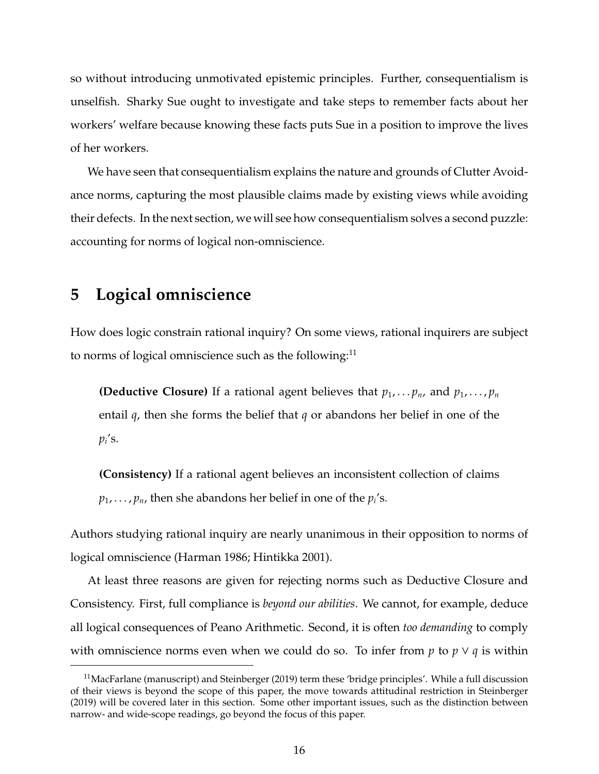so without introducing unmotivated epistemic principles. Further, consequentialism is unselfish. Sharky Sue ought to investigate and take steps to remember facts about her workers' welfare because knowing these facts puts Sue in a position to improve the lives of her workers.

We have seen that consequentialism explains the nature and grounds of Clutter Avoidance norms, capturing the most plausible claims made by existing views while avoiding their defects. In the next section, we will see how consequentialism solves a second puzzle: accounting for norms of logical non-omniscience.

#### **5 Logical omniscience**

How does logic constrain rational inquiry? On some views, rational inquirers are subject to norms of logical omniscience such as the following: $<sup>11</sup>$ </sup>

**(Deductive Closure)** If a rational agent believes that  $p_1, \ldots, p_n$ , and  $p_1, \ldots, p_n$ entail *q*, then she forms the belief that *q* or abandons her belief in one of the  $p_i$ 's.

**(Consistency)** If a rational agent believes an inconsistent collection of claims  $p_1,\ldots,p_n$ , then she abandons her belief in one of the  $p_i$ 's.

Authors studying rational inquiry are nearly unanimous in their opposition to norms of logical omniscience (Harman 1986; Hintikka 2001).

At least three reasons are given for rejecting norms such as Deductive Closure and Consistency. First, full compliance is *beyond our abilities*. We cannot, for example, deduce all logical consequences of Peano Arithmetic. Second, it is often *too demanding* to comply with omniscience norms even when we could do so. To infer from  $p$  to  $p \vee q$  is within

 $11$ MacFarlane (manuscript) and Steinberger (2019) term these 'bridge principles'. While a full discussion of their views is beyond the scope of this paper, the move towards attitudinal restriction in Steinberger (2019) will be covered later in this section. Some other important issues, such as the distinction between narrow- and wide-scope readings, go beyond the focus of this paper.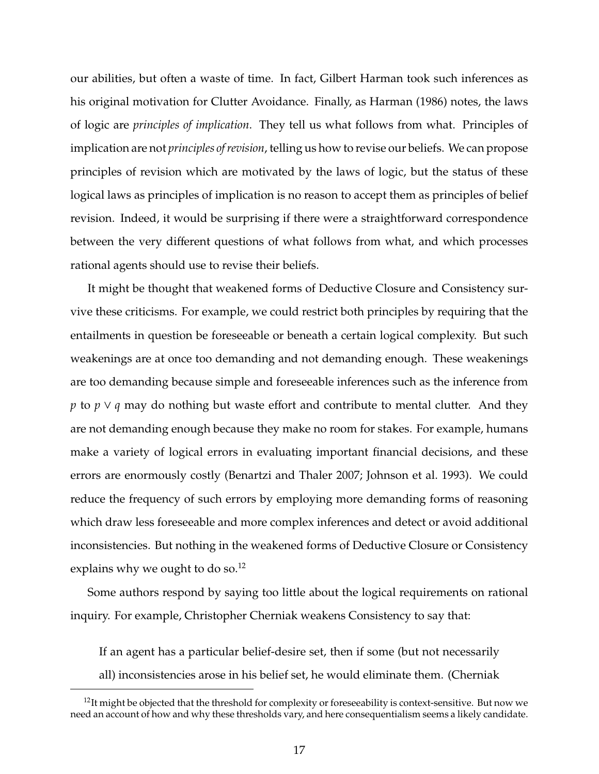our abilities, but often a waste of time. In fact, Gilbert Harman took such inferences as his original motivation for Clutter Avoidance. Finally, as Harman (1986) notes, the laws of logic are *principles of implication*. They tell us what follows from what. Principles of implication are not *principles of revision*, telling us how to revise our beliefs. We can propose principles of revision which are motivated by the laws of logic, but the status of these logical laws as principles of implication is no reason to accept them as principles of belief revision. Indeed, it would be surprising if there were a straightforward correspondence between the very different questions of what follows from what, and which processes rational agents should use to revise their beliefs.

It might be thought that weakened forms of Deductive Closure and Consistency survive these criticisms. For example, we could restrict both principles by requiring that the entailments in question be foreseeable or beneath a certain logical complexity. But such weakenings are at once too demanding and not demanding enough. These weakenings are too demanding because simple and foreseeable inferences such as the inference from *p* to *p* ∨ *q* may do nothing but waste effort and contribute to mental clutter. And they are not demanding enough because they make no room for stakes. For example, humans make a variety of logical errors in evaluating important financial decisions, and these errors are enormously costly (Benartzi and Thaler 2007; Johnson et al. 1993). We could reduce the frequency of such errors by employing more demanding forms of reasoning which draw less foreseeable and more complex inferences and detect or avoid additional inconsistencies. But nothing in the weakened forms of Deductive Closure or Consistency explains why we ought to do so.<sup>12</sup>

Some authors respond by saying too little about the logical requirements on rational inquiry. For example, Christopher Cherniak weakens Consistency to say that:

If an agent has a particular belief-desire set, then if some (but not necessarily all) inconsistencies arose in his belief set, he would eliminate them. (Cherniak

 $12$ It might be objected that the threshold for complexity or foreseeability is context-sensitive. But now we need an account of how and why these thresholds vary, and here consequentialism seems a likely candidate.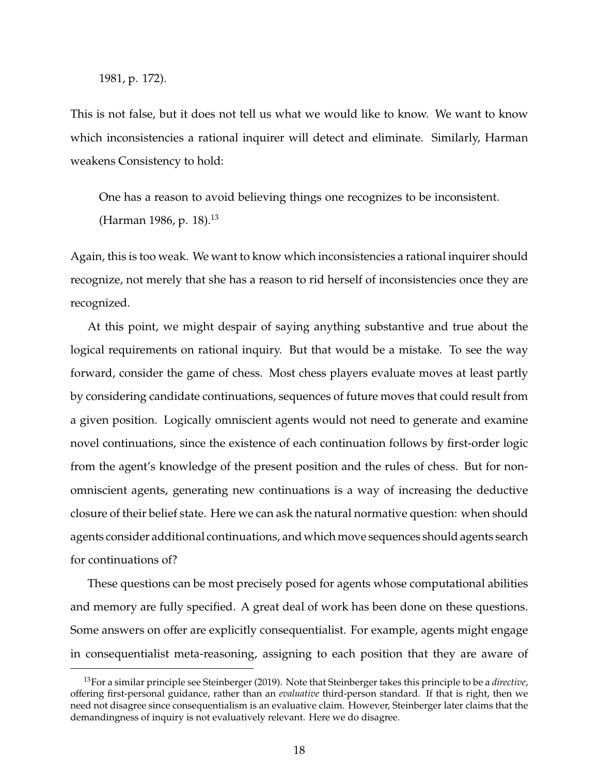1981, p. 172).

This is not false, but it does not tell us what we would like to know. We want to know which inconsistencies a rational inquirer will detect and eliminate. Similarly, Harman weakens Consistency to hold:

One has a reason to avoid believing things one recognizes to be inconsistent. (Harman 1986, p. 18).<sup>13</sup>

Again, this is too weak. We want to know which inconsistencies a rational inquirer should recognize, not merely that she has a reason to rid herself of inconsistencies once they are recognized.

At this point, we might despair of saying anything substantive and true about the logical requirements on rational inquiry. But that would be a mistake. To see the way forward, consider the game of chess. Most chess players evaluate moves at least partly by considering candidate continuations, sequences of future moves that could result from a given position. Logically omniscient agents would not need to generate and examine novel continuations, since the existence of each continuation follows by first-order logic from the agent's knowledge of the present position and the rules of chess. But for nonomniscient agents, generating new continuations is a way of increasing the deductive closure of their belief state. Here we can ask the natural normative question: when should agents consider additional continuations, and which move sequences should agents search for continuations of?

These questions can be most precisely posed for agents whose computational abilities and memory are fully specified. A great deal of work has been done on these questions. Some answers on offer are explicitly consequentialist. For example, agents might engage in consequentialist meta-reasoning, assigning to each position that they are aware of

<sup>13</sup>For a similar principle see Steinberger (2019). Note that Steinberger takes this principle to be a *directive*, offering first-personal guidance, rather than an *evaluative* third-person standard. If that is right, then we need not disagree since consequentialism is an evaluative claim. However, Steinberger later claims that the demandingness of inquiry is not evaluatively relevant. Here we do disagree.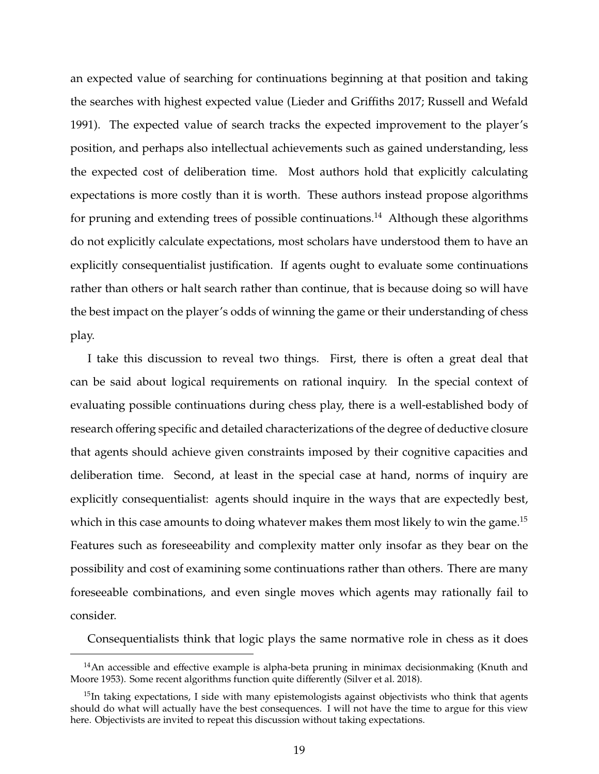an expected value of searching for continuations beginning at that position and taking the searches with highest expected value (Lieder and Griffiths 2017; Russell and Wefald 1991). The expected value of search tracks the expected improvement to the player's position, and perhaps also intellectual achievements such as gained understanding, less the expected cost of deliberation time. Most authors hold that explicitly calculating expectations is more costly than it is worth. These authors instead propose algorithms for pruning and extending trees of possible continuations.<sup>14</sup> Although these algorithms do not explicitly calculate expectations, most scholars have understood them to have an explicitly consequentialist justification. If agents ought to evaluate some continuations rather than others or halt search rather than continue, that is because doing so will have the best impact on the player's odds of winning the game or their understanding of chess play.

I take this discussion to reveal two things. First, there is often a great deal that can be said about logical requirements on rational inquiry. In the special context of evaluating possible continuations during chess play, there is a well-established body of research offering specific and detailed characterizations of the degree of deductive closure that agents should achieve given constraints imposed by their cognitive capacities and deliberation time. Second, at least in the special case at hand, norms of inquiry are explicitly consequentialist: agents should inquire in the ways that are expectedly best, which in this case amounts to doing whatever makes them most likely to win the game.<sup>15</sup> Features such as foreseeability and complexity matter only insofar as they bear on the possibility and cost of examining some continuations rather than others. There are many foreseeable combinations, and even single moves which agents may rationally fail to consider.

Consequentialists think that logic plays the same normative role in chess as it does

 $14$ An accessible and effective example is alpha-beta pruning in minimax decisionmaking (Knuth and Moore 1953). Some recent algorithms function quite differently (Silver et al. 2018).

 $15$ In taking expectations, I side with many epistemologists against objectivists who think that agents should do what will actually have the best consequences. I will not have the time to argue for this view here. Objectivists are invited to repeat this discussion without taking expectations.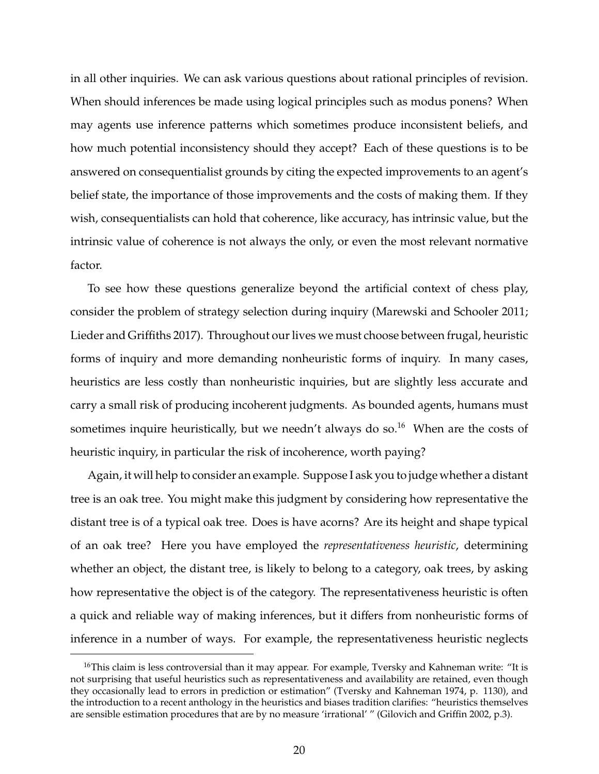in all other inquiries. We can ask various questions about rational principles of revision. When should inferences be made using logical principles such as modus ponens? When may agents use inference patterns which sometimes produce inconsistent beliefs, and how much potential inconsistency should they accept? Each of these questions is to be answered on consequentialist grounds by citing the expected improvements to an agent's belief state, the importance of those improvements and the costs of making them. If they wish, consequentialists can hold that coherence, like accuracy, has intrinsic value, but the intrinsic value of coherence is not always the only, or even the most relevant normative factor.

To see how these questions generalize beyond the artificial context of chess play, consider the problem of strategy selection during inquiry (Marewski and Schooler 2011; Lieder and Griffiths 2017). Throughout our lives we must choose between frugal, heuristic forms of inquiry and more demanding nonheuristic forms of inquiry. In many cases, heuristics are less costly than nonheuristic inquiries, but are slightly less accurate and carry a small risk of producing incoherent judgments. As bounded agents, humans must sometimes inquire heuristically, but we needn't always do so.<sup>16</sup> When are the costs of heuristic inquiry, in particular the risk of incoherence, worth paying?

Again, it will help to consider an example. Suppose I ask you to judge whether a distant tree is an oak tree. You might make this judgment by considering how representative the distant tree is of a typical oak tree. Does is have acorns? Are its height and shape typical of an oak tree? Here you have employed the *representativeness heuristic*, determining whether an object, the distant tree, is likely to belong to a category, oak trees, by asking how representative the object is of the category. The representativeness heuristic is often a quick and reliable way of making inferences, but it differs from nonheuristic forms of inference in a number of ways. For example, the representativeness heuristic neglects

<sup>&</sup>lt;sup>16</sup>This claim is less controversial than it may appear. For example, Tversky and Kahneman write: "It is not surprising that useful heuristics such as representativeness and availability are retained, even though they occasionally lead to errors in prediction or estimation" (Tversky and Kahneman 1974, p. 1130), and the introduction to a recent anthology in the heuristics and biases tradition clarifies: "heuristics themselves are sensible estimation procedures that are by no measure 'irrational' " (Gilovich and Griffin 2002, p.3).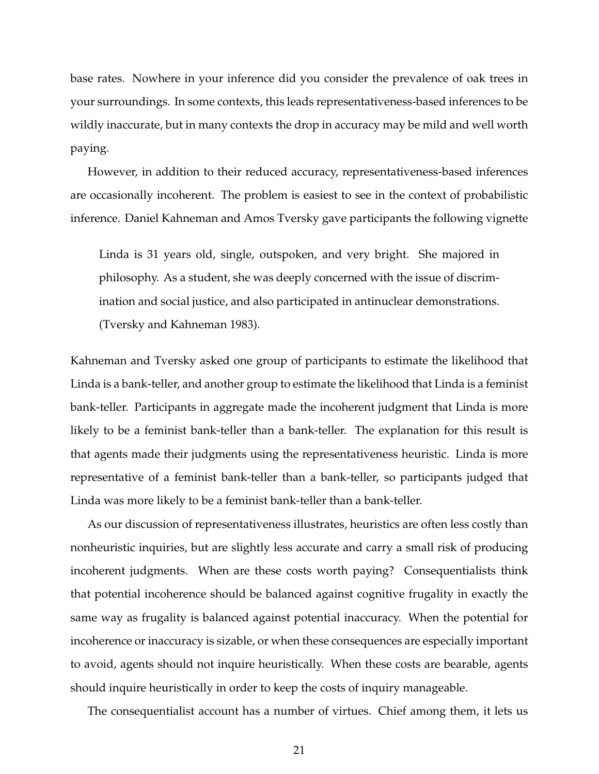base rates. Nowhere in your inference did you consider the prevalence of oak trees in your surroundings. In some contexts, this leads representativeness-based inferences to be wildly inaccurate, but in many contexts the drop in accuracy may be mild and well worth paying.

However, in addition to their reduced accuracy, representativeness-based inferences are occasionally incoherent. The problem is easiest to see in the context of probabilistic inference. Daniel Kahneman and Amos Tversky gave participants the following vignette

Linda is 31 years old, single, outspoken, and very bright. She majored in philosophy. As a student, she was deeply concerned with the issue of discrimination and social justice, and also participated in antinuclear demonstrations. (Tversky and Kahneman 1983).

Kahneman and Tversky asked one group of participants to estimate the likelihood that Linda is a bank-teller, and another group to estimate the likelihood that Linda is a feminist bank-teller. Participants in aggregate made the incoherent judgment that Linda is more likely to be a feminist bank-teller than a bank-teller. The explanation for this result is that agents made their judgments using the representativeness heuristic. Linda is more representative of a feminist bank-teller than a bank-teller, so participants judged that Linda was more likely to be a feminist bank-teller than a bank-teller.

As our discussion of representativeness illustrates, heuristics are often less costly than nonheuristic inquiries, but are slightly less accurate and carry a small risk of producing incoherent judgments. When are these costs worth paying? Consequentialists think that potential incoherence should be balanced against cognitive frugality in exactly the same way as frugality is balanced against potential inaccuracy. When the potential for incoherence or inaccuracy is sizable, or when these consequences are especially important to avoid, agents should not inquire heuristically. When these costs are bearable, agents should inquire heuristically in order to keep the costs of inquiry manageable.

The consequentialist account has a number of virtues. Chief among them, it lets us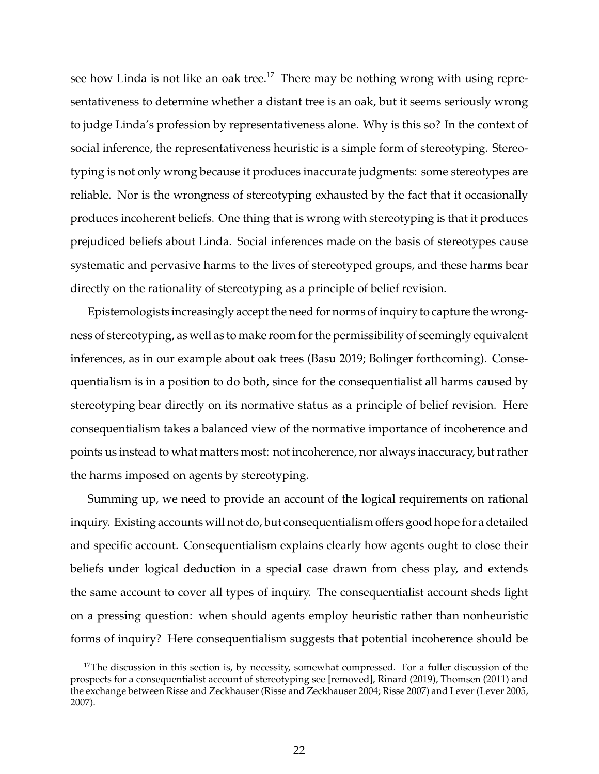see how Linda is not like an oak tree.<sup>17</sup> There may be nothing wrong with using representativeness to determine whether a distant tree is an oak, but it seems seriously wrong to judge Linda's profession by representativeness alone. Why is this so? In the context of social inference, the representativeness heuristic is a simple form of stereotyping. Stereotyping is not only wrong because it produces inaccurate judgments: some stereotypes are reliable. Nor is the wrongness of stereotyping exhausted by the fact that it occasionally produces incoherent beliefs. One thing that is wrong with stereotyping is that it produces prejudiced beliefs about Linda. Social inferences made on the basis of stereotypes cause systematic and pervasive harms to the lives of stereotyped groups, and these harms bear directly on the rationality of stereotyping as a principle of belief revision.

Epistemologists increasingly accept the need for norms of inquiry to capture the wrongness of stereotyping, as well as to make room for the permissibility of seemingly equivalent inferences, as in our example about oak trees (Basu 2019; Bolinger forthcoming). Consequentialism is in a position to do both, since for the consequentialist all harms caused by stereotyping bear directly on its normative status as a principle of belief revision. Here consequentialism takes a balanced view of the normative importance of incoherence and points us instead to what matters most: not incoherence, nor always inaccuracy, but rather the harms imposed on agents by stereotyping.

Summing up, we need to provide an account of the logical requirements on rational inquiry. Existing accounts will not do, but consequentialism offers good hope for a detailed and specific account. Consequentialism explains clearly how agents ought to close their beliefs under logical deduction in a special case drawn from chess play, and extends the same account to cover all types of inquiry. The consequentialist account sheds light on a pressing question: when should agents employ heuristic rather than nonheuristic forms of inquiry? Here consequentialism suggests that potential incoherence should be

 $17$ The discussion in this section is, by necessity, somewhat compressed. For a fuller discussion of the prospects for a consequentialist account of stereotyping see [removed], Rinard (2019), Thomsen (2011) and the exchange between Risse and Zeckhauser (Risse and Zeckhauser 2004; Risse 2007) and Lever (Lever 2005, 2007).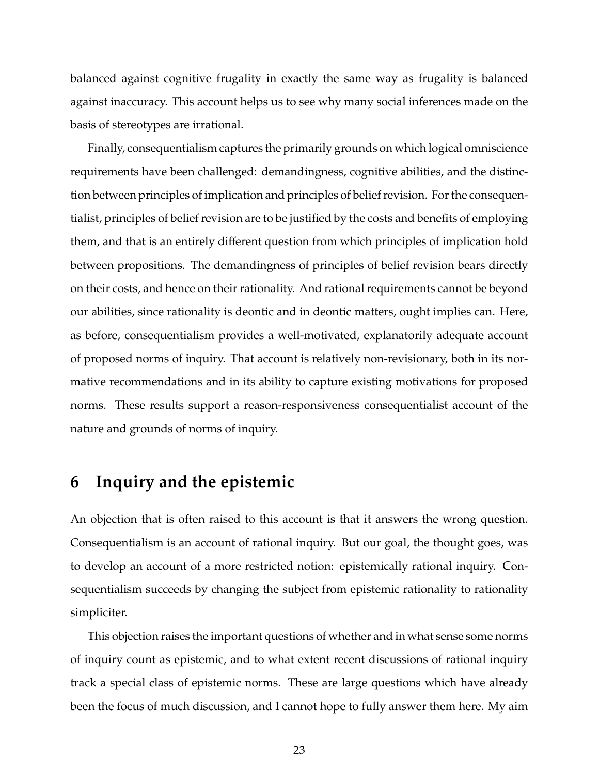balanced against cognitive frugality in exactly the same way as frugality is balanced against inaccuracy. This account helps us to see why many social inferences made on the basis of stereotypes are irrational.

Finally, consequentialism captures the primarily grounds on which logical omniscience requirements have been challenged: demandingness, cognitive abilities, and the distinction between principles of implication and principles of belief revision. For the consequentialist, principles of belief revision are to be justified by the costs and benefits of employing them, and that is an entirely different question from which principles of implication hold between propositions. The demandingness of principles of belief revision bears directly on their costs, and hence on their rationality. And rational requirements cannot be beyond our abilities, since rationality is deontic and in deontic matters, ought implies can. Here, as before, consequentialism provides a well-motivated, explanatorily adequate account of proposed norms of inquiry. That account is relatively non-revisionary, both in its normative recommendations and in its ability to capture existing motivations for proposed norms. These results support a reason-responsiveness consequentialist account of the nature and grounds of norms of inquiry.

#### **6 Inquiry and the epistemic**

An objection that is often raised to this account is that it answers the wrong question. Consequentialism is an account of rational inquiry. But our goal, the thought goes, was to develop an account of a more restricted notion: epistemically rational inquiry. Consequentialism succeeds by changing the subject from epistemic rationality to rationality simpliciter.

This objection raises the important questions of whether and in what sense some norms of inquiry count as epistemic, and to what extent recent discussions of rational inquiry track a special class of epistemic norms. These are large questions which have already been the focus of much discussion, and I cannot hope to fully answer them here. My aim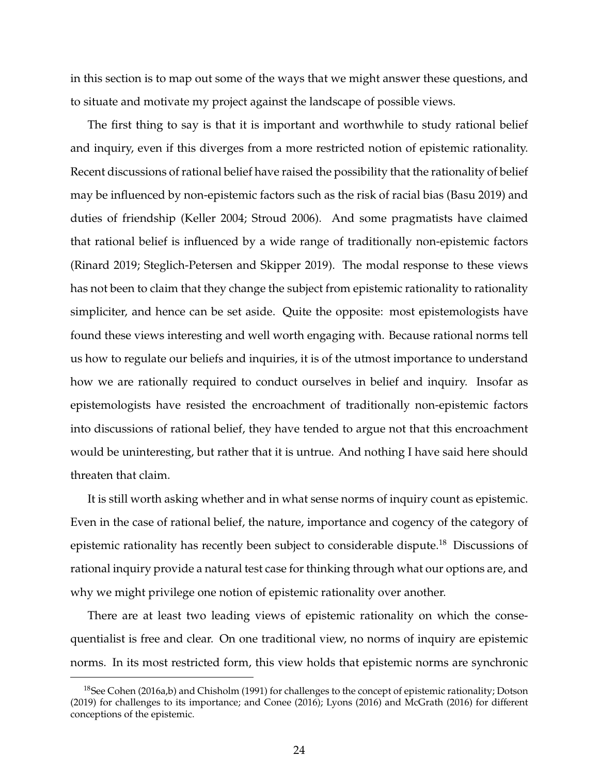in this section is to map out some of the ways that we might answer these questions, and to situate and motivate my project against the landscape of possible views.

The first thing to say is that it is important and worthwhile to study rational belief and inquiry, even if this diverges from a more restricted notion of epistemic rationality. Recent discussions of rational belief have raised the possibility that the rationality of belief may be influenced by non-epistemic factors such as the risk of racial bias (Basu 2019) and duties of friendship (Keller 2004; Stroud 2006). And some pragmatists have claimed that rational belief is influenced by a wide range of traditionally non-epistemic factors (Rinard 2019; Steglich-Petersen and Skipper 2019). The modal response to these views has not been to claim that they change the subject from epistemic rationality to rationality simpliciter, and hence can be set aside. Quite the opposite: most epistemologists have found these views interesting and well worth engaging with. Because rational norms tell us how to regulate our beliefs and inquiries, it is of the utmost importance to understand how we are rationally required to conduct ourselves in belief and inquiry. Insofar as epistemologists have resisted the encroachment of traditionally non-epistemic factors into discussions of rational belief, they have tended to argue not that this encroachment would be uninteresting, but rather that it is untrue. And nothing I have said here should threaten that claim.

It is still worth asking whether and in what sense norms of inquiry count as epistemic. Even in the case of rational belief, the nature, importance and cogency of the category of epistemic rationality has recently been subject to considerable dispute.<sup>18</sup> Discussions of rational inquiry provide a natural test case for thinking through what our options are, and why we might privilege one notion of epistemic rationality over another.

There are at least two leading views of epistemic rationality on which the consequentialist is free and clear. On one traditional view, no norms of inquiry are epistemic norms. In its most restricted form, this view holds that epistemic norms are synchronic

<sup>&</sup>lt;sup>18</sup>See Cohen (2016a,b) and Chisholm (1991) for challenges to the concept of epistemic rationality; Dotson (2019) for challenges to its importance; and Conee (2016); Lyons (2016) and McGrath (2016) for different conceptions of the epistemic.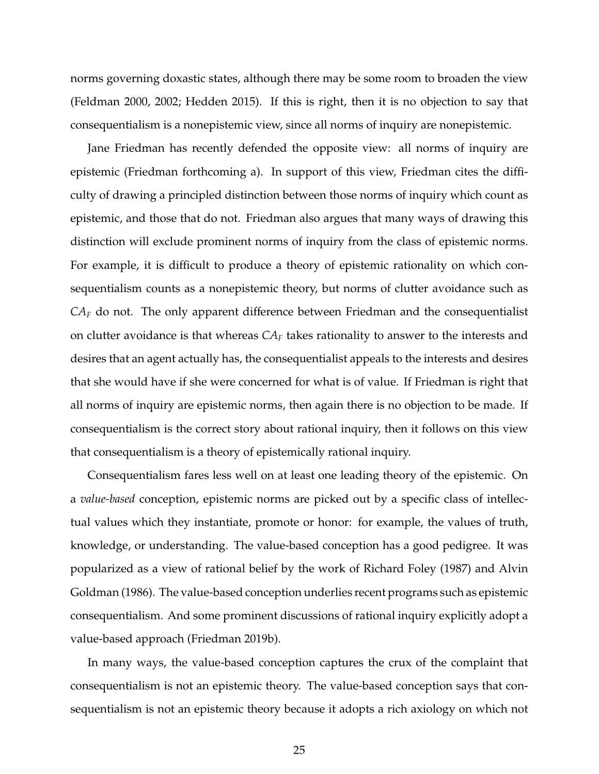norms governing doxastic states, although there may be some room to broaden the view (Feldman 2000, 2002; Hedden 2015). If this is right, then it is no objection to say that consequentialism is a nonepistemic view, since all norms of inquiry are nonepistemic.

Jane Friedman has recently defended the opposite view: all norms of inquiry are epistemic (Friedman forthcoming a). In support of this view, Friedman cites the difficulty of drawing a principled distinction between those norms of inquiry which count as epistemic, and those that do not. Friedman also argues that many ways of drawing this distinction will exclude prominent norms of inquiry from the class of epistemic norms. For example, it is difficult to produce a theory of epistemic rationality on which consequentialism counts as a nonepistemic theory, but norms of clutter avoidance such as *CA<sup>F</sup>* do not. The only apparent difference between Friedman and the consequentialist on clutter avoidance is that whereas *CA<sup>F</sup>* takes rationality to answer to the interests and desires that an agent actually has, the consequentialist appeals to the interests and desires that she would have if she were concerned for what is of value. If Friedman is right that all norms of inquiry are epistemic norms, then again there is no objection to be made. If consequentialism is the correct story about rational inquiry, then it follows on this view that consequentialism is a theory of epistemically rational inquiry.

Consequentialism fares less well on at least one leading theory of the epistemic. On a *value-based* conception, epistemic norms are picked out by a specific class of intellectual values which they instantiate, promote or honor: for example, the values of truth, knowledge, or understanding. The value-based conception has a good pedigree. It was popularized as a view of rational belief by the work of Richard Foley (1987) and Alvin Goldman (1986). The value-based conception underlies recent programs such as epistemic consequentialism. And some prominent discussions of rational inquiry explicitly adopt a value-based approach (Friedman 2019b).

In many ways, the value-based conception captures the crux of the complaint that consequentialism is not an epistemic theory. The value-based conception says that consequentialism is not an epistemic theory because it adopts a rich axiology on which not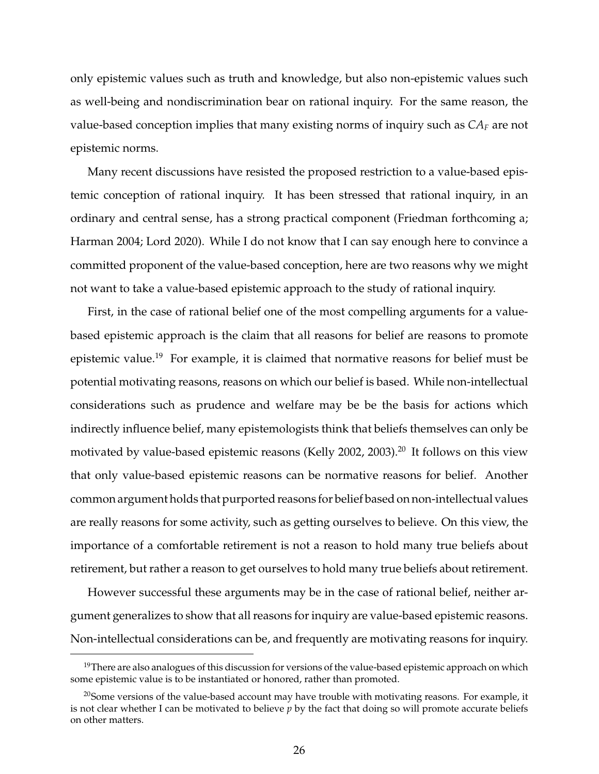only epistemic values such as truth and knowledge, but also non-epistemic values such as well-being and nondiscrimination bear on rational inquiry. For the same reason, the value-based conception implies that many existing norms of inquiry such as *CA<sup>F</sup>* are not epistemic norms.

Many recent discussions have resisted the proposed restriction to a value-based epistemic conception of rational inquiry. It has been stressed that rational inquiry, in an ordinary and central sense, has a strong practical component (Friedman forthcoming a; Harman 2004; Lord 2020). While I do not know that I can say enough here to convince a committed proponent of the value-based conception, here are two reasons why we might not want to take a value-based epistemic approach to the study of rational inquiry.

First, in the case of rational belief one of the most compelling arguments for a valuebased epistemic approach is the claim that all reasons for belief are reasons to promote epistemic value.<sup>19</sup> For example, it is claimed that normative reasons for belief must be potential motivating reasons, reasons on which our belief is based. While non-intellectual considerations such as prudence and welfare may be be the basis for actions which indirectly influence belief, many epistemologists think that beliefs themselves can only be motivated by value-based epistemic reasons (Kelly 2002, 2003).<sup>20</sup> It follows on this view that only value-based epistemic reasons can be normative reasons for belief. Another common argument holds that purported reasons for belief based on non-intellectual values are really reasons for some activity, such as getting ourselves to believe. On this view, the importance of a comfortable retirement is not a reason to hold many true beliefs about retirement, but rather a reason to get ourselves to hold many true beliefs about retirement.

However successful these arguments may be in the case of rational belief, neither argument generalizes to show that all reasons for inquiry are value-based epistemic reasons. Non-intellectual considerations can be, and frequently are motivating reasons for inquiry.

<sup>&</sup>lt;sup>19</sup>There are also analogues of this discussion for versions of the value-based epistemic approach on which some epistemic value is to be instantiated or honored, rather than promoted.

<sup>&</sup>lt;sup>20</sup>Some versions of the value-based account may have trouble with motivating reasons. For example, it is not clear whether I can be motivated to believe *p* by the fact that doing so will promote accurate beliefs on other matters.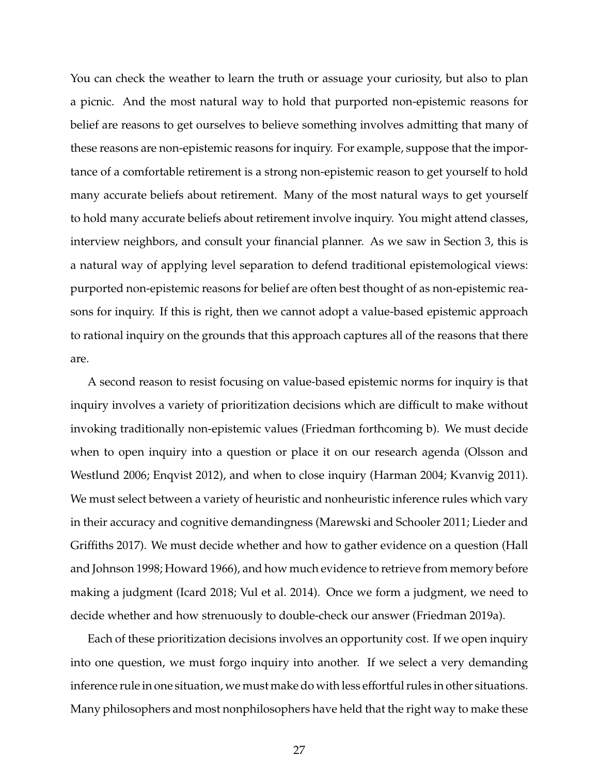You can check the weather to learn the truth or assuage your curiosity, but also to plan a picnic. And the most natural way to hold that purported non-epistemic reasons for belief are reasons to get ourselves to believe something involves admitting that many of these reasons are non-epistemic reasons for inquiry. For example, suppose that the importance of a comfortable retirement is a strong non-epistemic reason to get yourself to hold many accurate beliefs about retirement. Many of the most natural ways to get yourself to hold many accurate beliefs about retirement involve inquiry. You might attend classes, interview neighbors, and consult your financial planner. As we saw in Section 3, this is a natural way of applying level separation to defend traditional epistemological views: purported non-epistemic reasons for belief are often best thought of as non-epistemic reasons for inquiry. If this is right, then we cannot adopt a value-based epistemic approach to rational inquiry on the grounds that this approach captures all of the reasons that there are.

A second reason to resist focusing on value-based epistemic norms for inquiry is that inquiry involves a variety of prioritization decisions which are difficult to make without invoking traditionally non-epistemic values (Friedman forthcoming b). We must decide when to open inquiry into a question or place it on our research agenda (Olsson and Westlund 2006; Enqvist 2012), and when to close inquiry (Harman 2004; Kvanvig 2011). We must select between a variety of heuristic and nonheuristic inference rules which vary in their accuracy and cognitive demandingness (Marewski and Schooler 2011; Lieder and Griffiths 2017). We must decide whether and how to gather evidence on a question (Hall and Johnson 1998; Howard 1966), and how much evidence to retrieve from memory before making a judgment (Icard 2018; Vul et al. 2014). Once we form a judgment, we need to decide whether and how strenuously to double-check our answer (Friedman 2019a).

Each of these prioritization decisions involves an opportunity cost. If we open inquiry into one question, we must forgo inquiry into another. If we select a very demanding inference rule in one situation, we must make do with less effortful rules in other situations. Many philosophers and most nonphilosophers have held that the right way to make these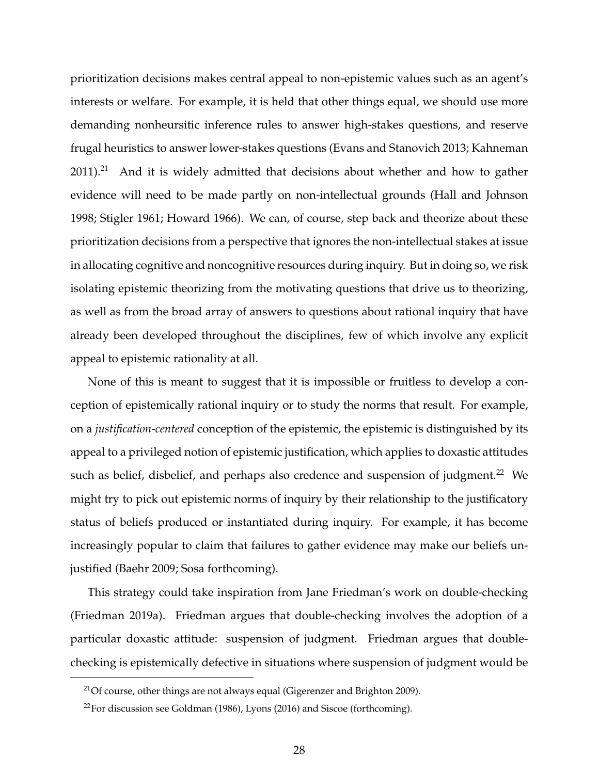prioritization decisions makes central appeal to non-epistemic values such as an agent's interests or welfare. For example, it is held that other things equal, we should use more demanding nonheursitic inference rules to answer high-stakes questions, and reserve frugal heuristics to answer lower-stakes questions (Evans and Stanovich 2013; Kahneman  $2011$ ).<sup>21</sup> And it is widely admitted that decisions about whether and how to gather evidence will need to be made partly on non-intellectual grounds (Hall and Johnson 1998; Stigler 1961; Howard 1966). We can, of course, step back and theorize about these prioritization decisions from a perspective that ignores the non-intellectual stakes at issue in allocating cognitive and noncognitive resources during inquiry. But in doing so, we risk isolating epistemic theorizing from the motivating questions that drive us to theorizing, as well as from the broad array of answers to questions about rational inquiry that have already been developed throughout the disciplines, few of which involve any explicit appeal to epistemic rationality at all.

None of this is meant to suggest that it is impossible or fruitless to develop a conception of epistemically rational inquiry or to study the norms that result. For example, on a *justification-centered* conception of the epistemic, the epistemic is distinguished by its appeal to a privileged notion of epistemic justification, which applies to doxastic attitudes such as belief, disbelief, and perhaps also credence and suspension of judgment.<sup>22</sup> We might try to pick out epistemic norms of inquiry by their relationship to the justificatory status of beliefs produced or instantiated during inquiry. For example, it has become increasingly popular to claim that failures to gather evidence may make our beliefs unjustified (Baehr 2009; Sosa forthcoming).

This strategy could take inspiration from Jane Friedman's work on double-checking (Friedman 2019a). Friedman argues that double-checking involves the adoption of a particular doxastic attitude: suspension of judgment. Friedman argues that doublechecking is epistemically defective in situations where suspension of judgment would be

 $21$ Of course, other things are not always equal (Gigerenzer and Brighton 2009).

 $22$ For discussion see Goldman (1986), Lyons (2016) and Siscoe (forthcoming).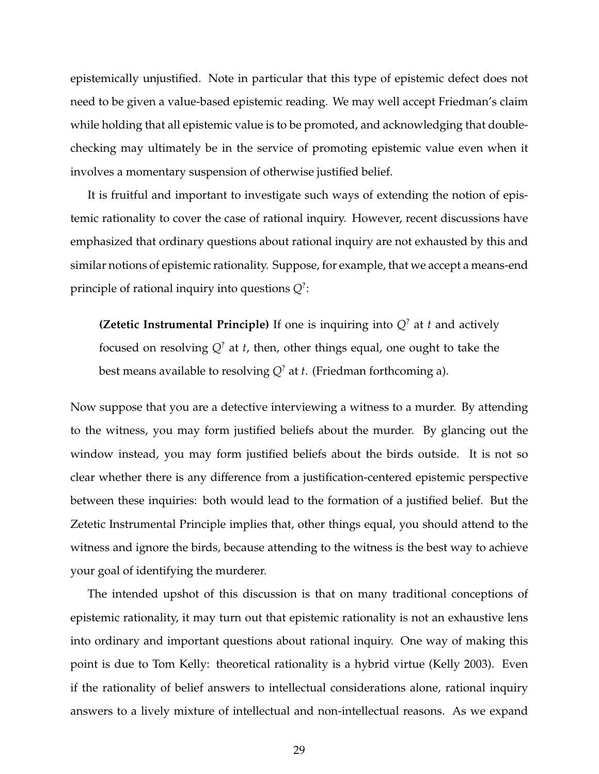epistemically unjustified. Note in particular that this type of epistemic defect does not need to be given a value-based epistemic reading. We may well accept Friedman's claim while holding that all epistemic value is to be promoted, and acknowledging that doublechecking may ultimately be in the service of promoting epistemic value even when it involves a momentary suspension of otherwise justified belief.

It is fruitful and important to investigate such ways of extending the notion of epistemic rationality to cover the case of rational inquiry. However, recent discussions have emphasized that ordinary questions about rational inquiry are not exhausted by this and similar notions of epistemic rationality. Suppose, for example, that we accept a means-end principle of rational inquiry into questions *Q*? :

**(Zetetic Instrumental Principle)** If one is inquiring into  $Q^2$  at *t* and actively focused on resolving *Q*? at *t*, then, other things equal, one ought to take the best means available to resolving *Q*? at *t*. (Friedman forthcoming a).

Now suppose that you are a detective interviewing a witness to a murder. By attending to the witness, you may form justified beliefs about the murder. By glancing out the window instead, you may form justified beliefs about the birds outside. It is not so clear whether there is any difference from a justification-centered epistemic perspective between these inquiries: both would lead to the formation of a justified belief. But the Zetetic Instrumental Principle implies that, other things equal, you should attend to the witness and ignore the birds, because attending to the witness is the best way to achieve your goal of identifying the murderer.

The intended upshot of this discussion is that on many traditional conceptions of epistemic rationality, it may turn out that epistemic rationality is not an exhaustive lens into ordinary and important questions about rational inquiry. One way of making this point is due to Tom Kelly: theoretical rationality is a hybrid virtue (Kelly 2003). Even if the rationality of belief answers to intellectual considerations alone, rational inquiry answers to a lively mixture of intellectual and non-intellectual reasons. As we expand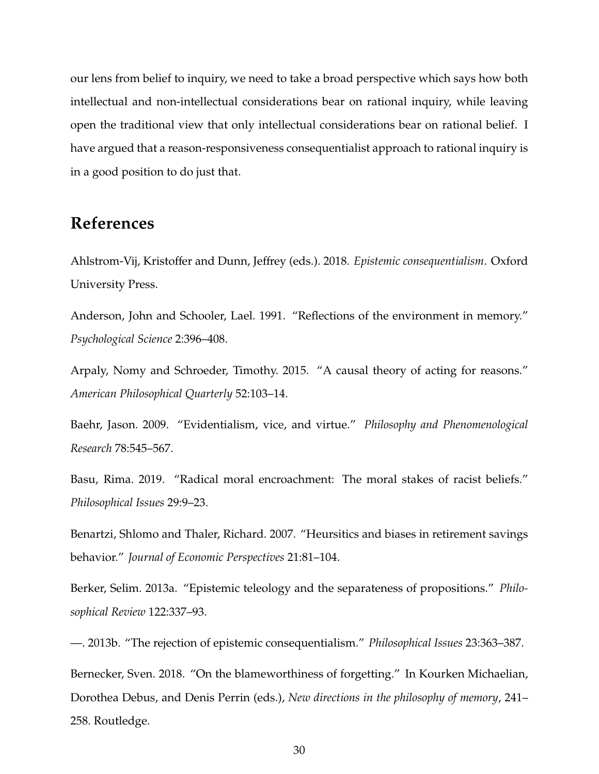our lens from belief to inquiry, we need to take a broad perspective which says how both intellectual and non-intellectual considerations bear on rational inquiry, while leaving open the traditional view that only intellectual considerations bear on rational belief. I have argued that a reason-responsiveness consequentialist approach to rational inquiry is in a good position to do just that.

# **References**

Ahlstrom-Vij, Kristoffer and Dunn, Jeffrey (eds.). 2018. *Epistemic consequentialism*. Oxford University Press.

Anderson, John and Schooler, Lael. 1991. "Reflections of the environment in memory." *Psychological Science* 2:396–408.

Arpaly, Nomy and Schroeder, Timothy. 2015. "A causal theory of acting for reasons." *American Philosophical Quarterly* 52:103–14.

Baehr, Jason. 2009. "Evidentialism, vice, and virtue." *Philosophy and Phenomenological Research* 78:545–567.

Basu, Rima. 2019. "Radical moral encroachment: The moral stakes of racist beliefs." *Philosophical Issues* 29:9–23.

Benartzi, Shlomo and Thaler, Richard. 2007. "Heursitics and biases in retirement savings behavior." *Journal of Economic Perspectives* 21:81–104.

Berker, Selim. 2013a. "Epistemic teleology and the separateness of propositions." *Philosophical Review* 122:337–93.

—. 2013b. "The rejection of epistemic consequentialism." *Philosophical Issues* 23:363–387. Bernecker, Sven. 2018. "On the blameworthiness of forgetting." In Kourken Michaelian, Dorothea Debus, and Denis Perrin (eds.), *New directions in the philosophy of memory*, 241– 258. Routledge.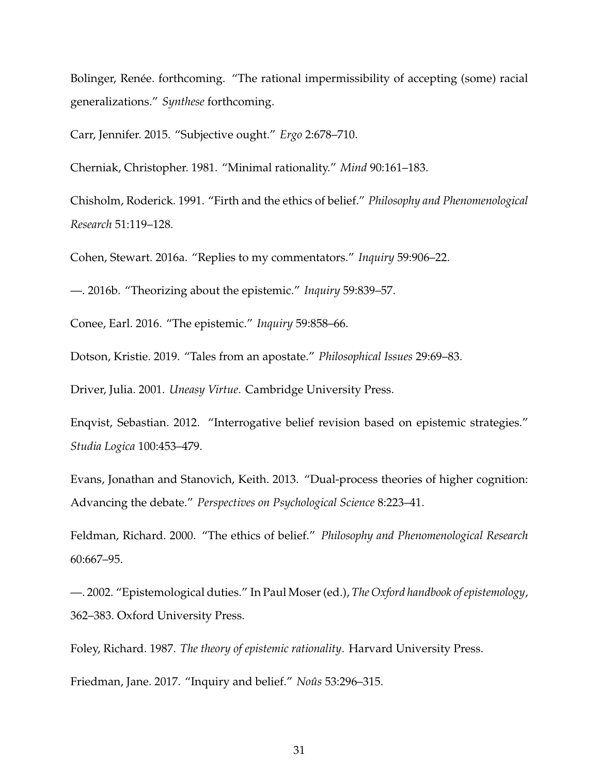Bolinger, Renée. forthcoming. "The rational impermissibility of accepting (some) racial generalizations." *Synthese* forthcoming.

Carr, Jennifer. 2015. "Subjective ought." *Ergo* 2:678–710.

Cherniak, Christopher. 1981. "Minimal rationality." *Mind* 90:161–183.

Chisholm, Roderick. 1991. "Firth and the ethics of belief." *Philosophy and Phenomenological Research* 51:119–128.

Cohen, Stewart. 2016a. "Replies to my commentators." *Inquiry* 59:906–22.

—. 2016b. "Theorizing about the epistemic." *Inquiry* 59:839–57.

Conee, Earl. 2016. "The epistemic." *Inquiry* 59:858–66.

Dotson, Kristie. 2019. "Tales from an apostate." *Philosophical Issues* 29:69–83.

Driver, Julia. 2001. *Uneasy Virtue*. Cambridge University Press.

Enqvist, Sebastian. 2012. "Interrogative belief revision based on epistemic strategies." *Studia Logica* 100:453–479.

Evans, Jonathan and Stanovich, Keith. 2013. "Dual-process theories of higher cognition: Advancing the debate." *Perspectives on Psychological Science* 8:223–41.

Feldman, Richard. 2000. "The ethics of belief." *Philosophy and Phenomenological Research* 60:667–95.

—. 2002. "Epistemological duties." In Paul Moser (ed.), *The Oxford handbook of epistemology*, 362–383. Oxford University Press.

Foley, Richard. 1987. *The theory of epistemic rationality*. Harvard University Press.

Friedman, Jane. 2017. "Inquiry and belief." *Noûs* 53:296-315.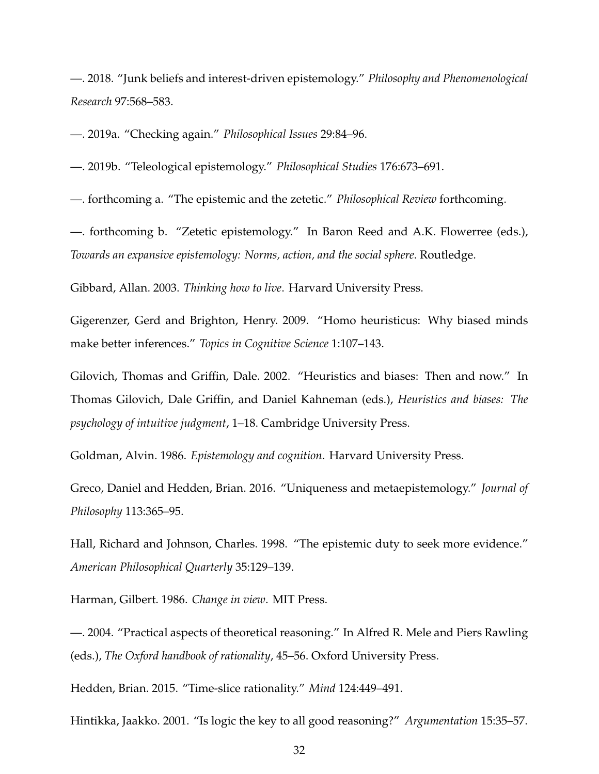—. 2018. "Junk beliefs and interest-driven epistemology." *Philosophy and Phenomenological Research* 97:568–583.

—. 2019a. "Checking again." *Philosophical Issues* 29:84–96.

—. 2019b. "Teleological epistemology." *Philosophical Studies* 176:673–691.

—. forthcoming a. "The epistemic and the zetetic." *Philosophical Review* forthcoming.

—. forthcoming b. "Zetetic epistemology." In Baron Reed and A.K. Flowerree (eds.), *Towards an expansive epistemology: Norms, action, and the social sphere*. Routledge.

Gibbard, Allan. 2003. *Thinking how to live*. Harvard University Press.

Gigerenzer, Gerd and Brighton, Henry. 2009. "Homo heuristicus: Why biased minds make better inferences." *Topics in Cognitive Science* 1:107–143.

Gilovich, Thomas and Griffin, Dale. 2002. "Heuristics and biases: Then and now." In Thomas Gilovich, Dale Griffin, and Daniel Kahneman (eds.), *Heuristics and biases: The psychology of intuitive judgment*, 1–18. Cambridge University Press.

Goldman, Alvin. 1986. *Epistemology and cognition*. Harvard University Press.

Greco, Daniel and Hedden, Brian. 2016. "Uniqueness and metaepistemology." *Journal of Philosophy* 113:365–95.

Hall, Richard and Johnson, Charles. 1998. "The epistemic duty to seek more evidence." *American Philosophical Quarterly* 35:129–139.

Harman, Gilbert. 1986. *Change in view*. MIT Press.

—. 2004. "Practical aspects of theoretical reasoning." In Alfred R. Mele and Piers Rawling (eds.), *The Oxford handbook of rationality*, 45–56. Oxford University Press.

Hedden, Brian. 2015. "Time-slice rationality." *Mind* 124:449–491.

Hintikka, Jaakko. 2001. "Is logic the key to all good reasoning?" *Argumentation* 15:35–57.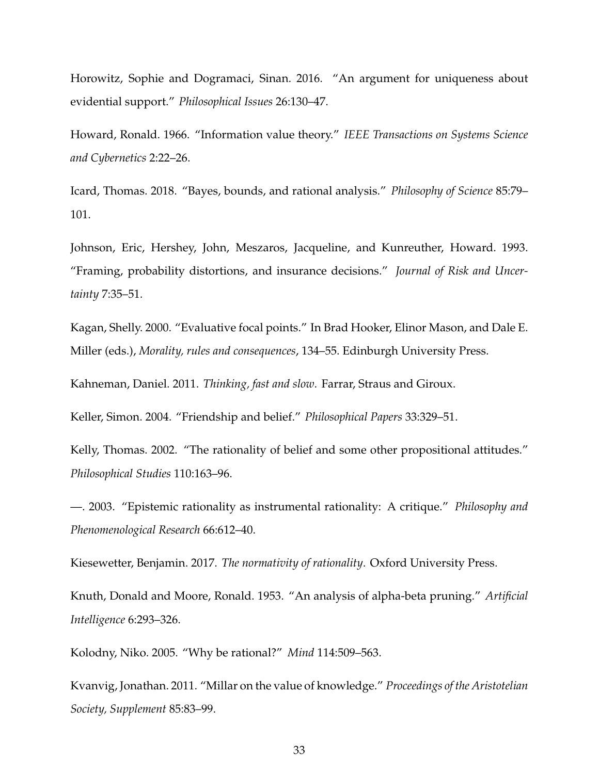Horowitz, Sophie and Dogramaci, Sinan. 2016. "An argument for uniqueness about evidential support." *Philosophical Issues* 26:130–47.

Howard, Ronald. 1966. "Information value theory." *IEEE Transactions on Systems Science and Cybernetics* 2:22–26.

Icard, Thomas. 2018. "Bayes, bounds, and rational analysis." *Philosophy of Science* 85:79– 101.

Johnson, Eric, Hershey, John, Meszaros, Jacqueline, and Kunreuther, Howard. 1993. "Framing, probability distortions, and insurance decisions." *Journal of Risk and Uncertainty* 7:35–51.

Kagan, Shelly. 2000. "Evaluative focal points." In Brad Hooker, Elinor Mason, and Dale E. Miller (eds.), *Morality, rules and consequences*, 134–55. Edinburgh University Press.

Kahneman, Daniel. 2011. *Thinking, fast and slow*. Farrar, Straus and Giroux.

Keller, Simon. 2004. "Friendship and belief." *Philosophical Papers* 33:329–51.

Kelly, Thomas. 2002. "The rationality of belief and some other propositional attitudes." *Philosophical Studies* 110:163–96.

—. 2003. "Epistemic rationality as instrumental rationality: A critique." *Philosophy and Phenomenological Research* 66:612–40.

Kiesewetter, Benjamin. 2017. *The normativity of rationality*. Oxford University Press.

Knuth, Donald and Moore, Ronald. 1953. "An analysis of alpha-beta pruning." *Artificial Intelligence* 6:293–326.

Kolodny, Niko. 2005. "Why be rational?" *Mind* 114:509–563.

Kvanvig, Jonathan. 2011. "Millar on the value of knowledge." *Proceedings of the Aristotelian Society, Supplement* 85:83–99.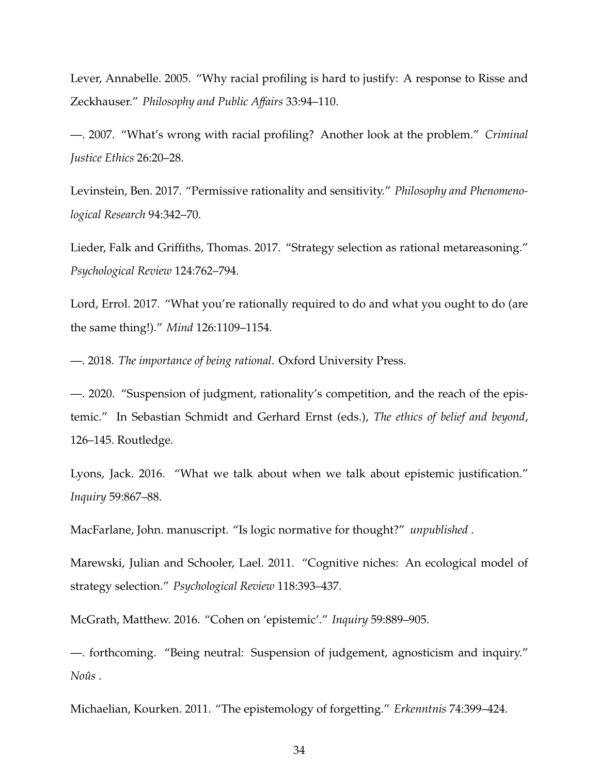Lever, Annabelle. 2005. "Why racial profiling is hard to justify: A response to Risse and Zeckhauser." *Philosophy and Public A*ff*airs* 33:94–110.

—. 2007. "What's wrong with racial profiling? Another look at the problem." *Criminal Justice Ethics* 26:20–28.

Levinstein, Ben. 2017. "Permissive rationality and sensitivity." *Philosophy and Phenomenological Research* 94:342–70.

Lieder, Falk and Griffiths, Thomas. 2017. "Strategy selection as rational metareasoning." *Psychological Review* 124:762–794.

Lord, Errol. 2017. "What you're rationally required to do and what you ought to do (are the same thing!)." *Mind* 126:1109–1154.

—. 2018. *The importance of being rational*. Oxford University Press.

—. 2020. "Suspension of judgment, rationality's competition, and the reach of the epistemic." In Sebastian Schmidt and Gerhard Ernst (eds.), *The ethics of belief and beyond*, 126–145. Routledge.

Lyons, Jack. 2016. "What we talk about when we talk about epistemic justification." *Inquiry* 59:867–88.

MacFarlane, John. manuscript. "Is logic normative for thought?" *unpublished* .

Marewski, Julian and Schooler, Lael. 2011. "Cognitive niches: An ecological model of strategy selection." *Psychological Review* 118:393–437.

McGrath, Matthew. 2016. "Cohen on 'epistemic'." *Inquiry* 59:889–905.

—. forthcoming. "Being neutral: Suspension of judgement, agnosticism and inquiry."  $Noûs$ .

Michaelian, Kourken. 2011. "The epistemology of forgetting." *Erkenntnis* 74:399–424.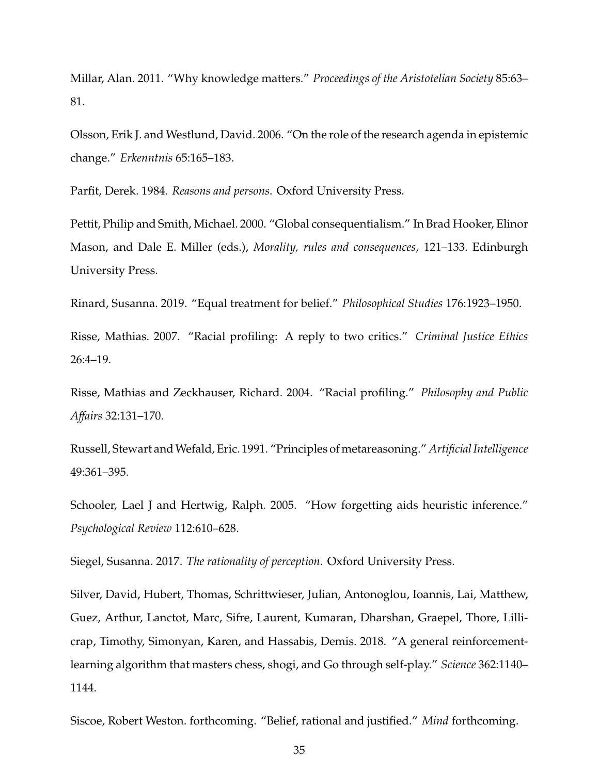Millar, Alan. 2011. "Why knowledge matters." *Proceedings of the Aristotelian Society* 85:63– 81.

Olsson, Erik J. and Westlund, David. 2006. "On the role of the research agenda in epistemic change." *Erkenntnis* 65:165–183.

Parfit, Derek. 1984. *Reasons and persons*. Oxford University Press.

Pettit, Philip and Smith, Michael. 2000. "Global consequentialism." In Brad Hooker, Elinor Mason, and Dale E. Miller (eds.), *Morality, rules and consequences*, 121–133. Edinburgh University Press.

Rinard, Susanna. 2019. "Equal treatment for belief." *Philosophical Studies* 176:1923–1950.

Risse, Mathias. 2007. "Racial profiling: A reply to two critics." *Criminal Justice Ethics* 26:4–19.

Risse, Mathias and Zeckhauser, Richard. 2004. "Racial profiling." *Philosophy and Public A*ff*airs* 32:131–170.

Russell, Stewart andWefald, Eric. 1991. "Principles of metareasoning." *Artificial Intelligence* 49:361–395.

Schooler, Lael J and Hertwig, Ralph. 2005. "How forgetting aids heuristic inference." *Psychological Review* 112:610–628.

Siegel, Susanna. 2017. *The rationality of perception*. Oxford University Press.

Silver, David, Hubert, Thomas, Schrittwieser, Julian, Antonoglou, Ioannis, Lai, Matthew, Guez, Arthur, Lanctot, Marc, Sifre, Laurent, Kumaran, Dharshan, Graepel, Thore, Lillicrap, Timothy, Simonyan, Karen, and Hassabis, Demis. 2018. "A general reinforcementlearning algorithm that masters chess, shogi, and Go through self-play." *Science* 362:1140– 1144.

Siscoe, Robert Weston. forthcoming. "Belief, rational and justified." *Mind* forthcoming.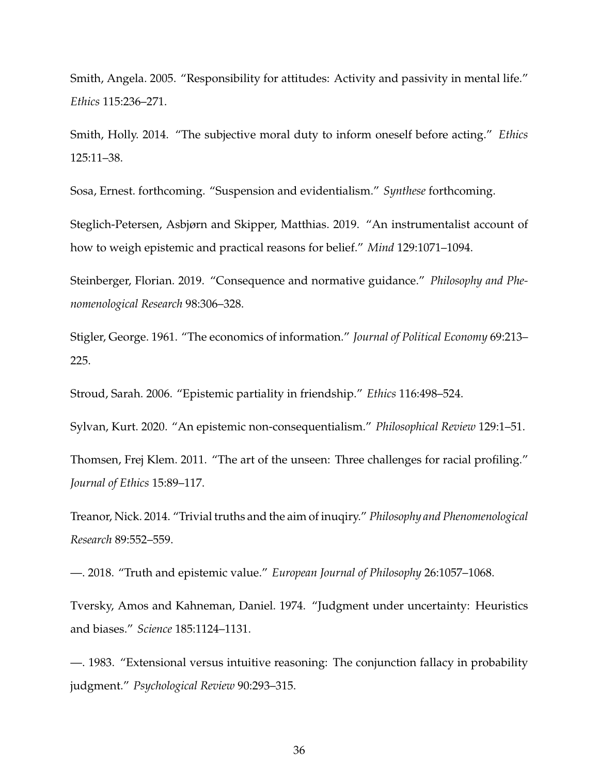Smith, Angela. 2005. "Responsibility for attitudes: Activity and passivity in mental life." *Ethics* 115:236–271.

Smith, Holly. 2014. "The subjective moral duty to inform oneself before acting." *Ethics* 125:11–38.

Sosa, Ernest. forthcoming. "Suspension and evidentialism." *Synthese* forthcoming.

Steglich-Petersen, Asbjørn and Skipper, Matthias. 2019. "An instrumentalist account of how to weigh epistemic and practical reasons for belief." *Mind* 129:1071–1094.

Steinberger, Florian. 2019. "Consequence and normative guidance." *Philosophy and Phenomenological Research* 98:306–328.

Stigler, George. 1961. "The economics of information." *Journal of Political Economy* 69:213– 225.

Stroud, Sarah. 2006. "Epistemic partiality in friendship." *Ethics* 116:498–524.

Sylvan, Kurt. 2020. "An epistemic non-consequentialism." *Philosophical Review* 129:1–51.

Thomsen, Frej Klem. 2011. "The art of the unseen: Three challenges for racial profiling." *Journal of Ethics* 15:89–117.

Treanor, Nick. 2014. "Trivial truths and the aim of inuqiry." *Philosophy and Phenomenological Research* 89:552–559.

—. 2018. "Truth and epistemic value." *European Journal of Philosophy* 26:1057–1068.

Tversky, Amos and Kahneman, Daniel. 1974. "Judgment under uncertainty: Heuristics and biases." *Science* 185:1124–1131.

—. 1983. "Extensional versus intuitive reasoning: The conjunction fallacy in probability judgment." *Psychological Review* 90:293–315.

36